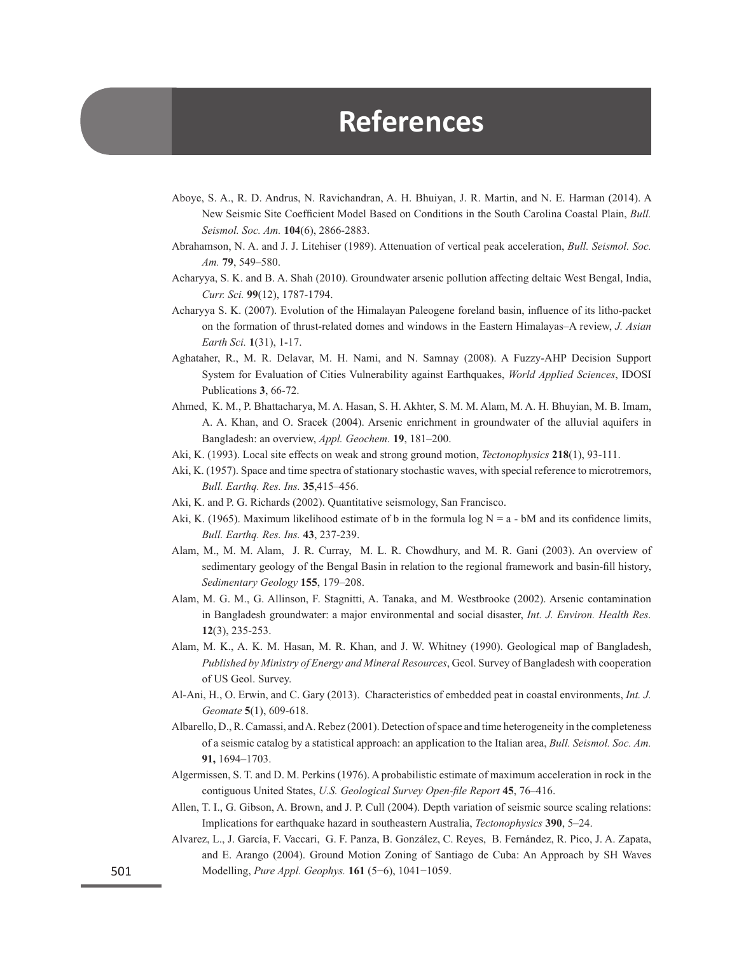## **References**

- Aboye, S. A., R. D. Andrus, N. Ravichandran, A. H. Bhuiyan, J. R. Martin, and N. E. Harman (2014). A New Seismic Site Coefficient Model Based on Conditions in the South Carolina Coastal Plain, *Bull. Seismol. Soc. Am.* **104**(6), 2866-2883.
- Abrahamson, N. A. and J. J. Litehiser (1989). Attenuation of vertical peak acceleration, *Bull. Seismol. Soc. Am.* **79**, 549–580.
- Acharyya, S. K. and B. A. Shah (2010). Groundwater arsenic pollution affecting deltaic West Bengal, India, *Curr. Sci.* **99**(12), 1787-1794.
- Acharyya S. K. (2007). Evolution of the Himalayan Paleogene foreland basin, influence of its litho-packet on the formation of thrust-related domes and windows in the Eastern Himalayas–A review, *J. Asian Earth Sci.* **1**(31), 1-17.
- Aghataher, R., M. R. Delavar, M. H. Nami, and N. Samnay (2008). A Fuzzy-AHP Decision Support System for Evaluation of Cities Vulnerability against Earthquakes, *World Applied Sciences*, IDOSI Publications **3**, 66-72.
- Ahmed, K. M., P. Bhattacharya, M. A. Hasan, S. H. Akhter, S. M. M. Alam, M. A. H. Bhuyian, M. B. Imam, A. A. Khan, and O. Sracek (2004). Arsenic enrichment in groundwater of the alluvial aquifers in Bangladesh: an overview, *Appl. Geochem.* **19**, 181–200.
- Aki, K. (1993). Local site effects on weak and strong ground motion, *Tectonophysics* **218**(1), 93-111.
- Aki, K. (1957). Space and time spectra of stationary stochastic waves, with special reference to microtremors, *Bull. Earthq. Res. Ins.* **35**,415–456.
- Aki, K. and P. G. Richards (2002). Quantitative seismology, San Francisco.
- Aki, K. (1965). Maximum likelihood estimate of b in the formula log  $N = a bM$  and its confidence limits, *Bull. Earthq. Res. Ins.* **43**, 237-239.
- Alam, M., M. M. Alam, J. R. Curray, M. L. R. Chowdhury, and M. R. Gani (2003). An overview of sedimentary geology of the Bengal Basin in relation to the regional framework and basin-fill history, *Sedimentary Geology* **155**, 179–208.
- Alam, M. G. M., G. Allinson, F. Stagnitti, A. Tanaka, and M. Westbrooke (2002). Arsenic contamination in Bangladesh groundwater: a major environmental and social disaster, *Int. J. Environ. Health Res.* **12**(3), 235-253.
- Alam, M. K., A. K. M. Hasan, M. R. Khan, and J. W. Whitney (1990). Geological map of Bangladesh, *Published by Ministry of Energy and Mineral Resources*, Geol. Survey of Bangladesh with cooperation of US Geol. Survey.
- Al-Ani, H., O. Erwin, and C. Gary (2013). Characteristics of embedded peat in coastal environments, *Int. J. Geomate* **5**(1), 609-618.
- Albarello, D., R. Camassi, and A. Rebez (2001). Detection of space and time heterogeneity in the completeness of a seismic catalog by a statistical approach: an application to the Italian area, *Bull. Seismol. Soc. Am.*  **91,** 1694–1703.
- Algermissen, S. T. and D. M. Perkins (1976). A probabilistic estimate of maximum acceleration in rock in the contiguous United States, *U.S. Geological Survey Open-file Report* **45**, 76–416.
- Allen, T. I., G. Gibson, A. Brown, and J. P. Cull (2004). Depth variation of seismic source scaling relations: Implications for earthquake hazard in southeastern Australia, *Tectonophysics* **390**, 5–24.
- Alvarez, L., J. García, F. Vaccari, G. F. Panza, B. González, C. Reyes, B. Fernández, R. Pico, J. A. Zapata, and E. Arango (2004). Ground Motion Zoning of Santiago de Cuba: An Approach by SH Waves Modelling, *Pure Appl. Geophys.* **161** (5−6), 1041−1059.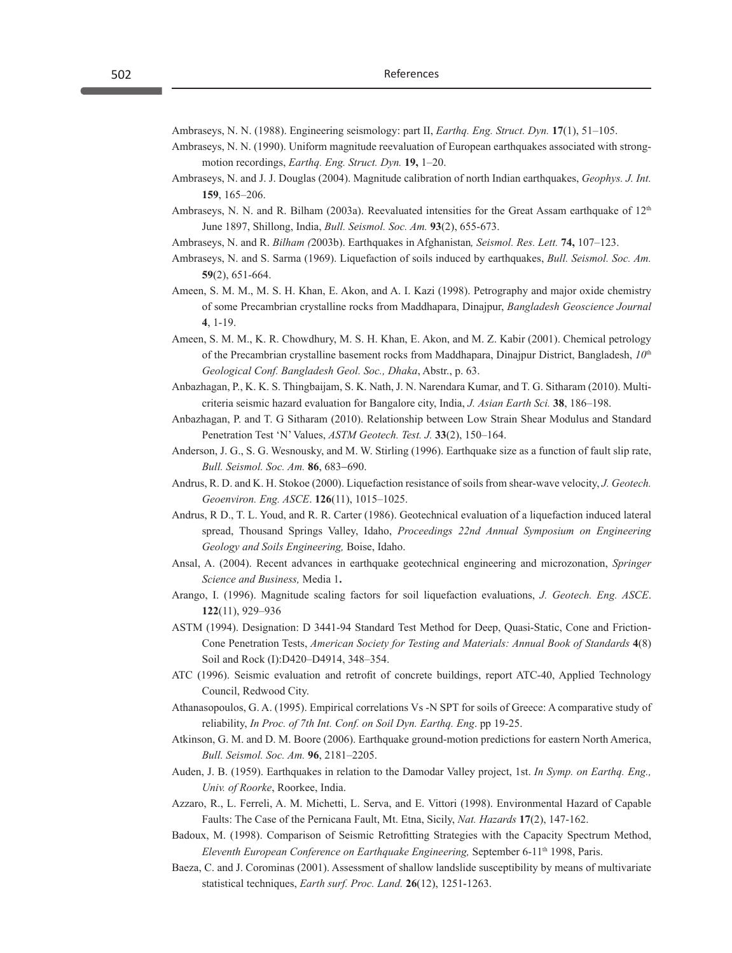Ambraseys, N. N. (1988). Engineering seismology: part II, *Earthq. Eng. Struct. Dyn.* **17**(1), 51–105.

- Ambraseys, N. N. (1990). Uniform magnitude reevaluation of European earthquakes associated with strongmotion recordings, *Earthq. Eng. Struct. Dyn.* **19,** 1–20.
- Ambraseys, N. and J. J. Douglas (2004). Magnitude calibration of north Indian earthquakes, *Geophys. J. Int.* **159**, 165–206.
- Ambraseys, N. N. and R. Bilham (2003a). Reevaluated intensities for the Great Assam earthquake of  $12<sup>th</sup>$ June 1897, Shillong, India, *Bull. Seismol. Soc. Am.* **93**(2), 655-673.
- Ambraseys, N. and R. *Bilham (*2003b). Earthquakes in Afghanistan*, Seismol. Res. Lett.* **74,** 107–123.
- Ambraseys, N. and S. Sarma (1969). Liquefaction of soils induced by earthquakes, *Bull. Seismol. Soc. Am.*  **59**(2), 651-664.
- Ameen, S. M. M., M. S. H. Khan, E. Akon, and A. I. Kazi (1998). Petrography and major oxide chemistry of some Precambrian crystalline rocks from Maddhapara, Dinajpur, *Bangladesh Geoscience Journal* **4**, 1-19.
- Ameen, S. M. M., K. R. Chowdhury, M. S. H. Khan, E. Akon, and M. Z. Kabir (2001). Chemical petrology of the Precambrian crystalline basement rocks from Maddhapara, Dinajpur District, Bangladesh, *10*th *Geological Conf. Bangladesh Geol. Soc., Dhaka*, Abstr., p. 63.
- Anbazhagan, P., K. K. S. Thingbaijam, S. K. Nath, J. N. Narendara Kumar, and T. G. Sitharam (2010). Multicriteria seismic hazard evaluation for Bangalore city, India, *J. Asian Earth Sci.* **38**, 186–198.
- Anbazhagan, P. and T. G Sitharam (2010). Relationship between Low Strain Shear Modulus and Standard Penetration Test 'N' Values, *ASTM Geotech. Test. J.* **33**(2), 150–164.
- Anderson, J. G., S. G. Wesnousky, and M. W. Stirling (1996). Earthquake size as a function of fault slip rate, *Bull. Seismol. Soc. Am.* **86**, 683−690.
- Andrus, R. D. and K. H. Stokoe (2000). Liquefaction resistance of soils from shear-wave velocity, *J. Geotech. Geoenviron. Eng. ASCE*. **126**(11), 1015–1025.
- Andrus, R D., T. L. Youd, and R. R. Carter (1986). Geotechnical evaluation of a liquefaction induced lateral spread, Thousand Springs Valley, Idaho, *Proceedings 22nd Annual Symposium on Engineering Geology and Soils Engineering,* Boise, Idaho.
- Ansal, A. (2004). Recent advances in earthquake geotechnical engineering and microzonation, *Springer Science and Business,* Media 1**.**
- Arango, I. (1996). Magnitude scaling factors for soil liquefaction evaluations, *J. Geotech. Eng. ASCE*. **122**(11), 929–936
- ASTM (1994). Designation: D 3441-94 Standard Test Method for Deep, Quasi-Static, Cone and Friction-Cone Penetration Tests, *American Society for Testing and Materials: Annual Book of Standards* **4**(8) Soil and Rock (I):D420–D4914, 348–354.
- ATC (1996). Seismic evaluation and retrofit of concrete buildings, report ATC-40, Applied Technology Council, Redwood City.
- Athanasopoulos, G. A. (1995). Empirical correlations Vs -N SPT for soils of Greece: A comparative study of reliability, *In Proc. of 7th Int. Conf. on Soil Dyn. Earthq. Eng*. pp 19-25.
- Atkinson, G. M. and D. M. Boore (2006). Earthquake ground-motion predictions for eastern North America, *Bull. Seismol. Soc. Am.* **96**, 2181–2205.
- Auden, J. B. (1959). Earthquakes in relation to the Damodar Valley project, 1st. *In Symp. on Earthq. Eng., Univ. of Roorke*, Roorkee, India.
- Azzaro, R., L. Ferreli, A. M. Michetti, L. Serva, and E. Vittori (1998). Environmental Hazard of Capable Faults: The Case of the Pernicana Fault, Mt. Etna, Sicily, *Nat. Hazards* **17**(2), 147-162.
- Badoux, M. (1998). Comparison of Seismic Retrofitting Strategies with the Capacity Spectrum Method, *Eleventh European Conference on Earthquake Engineering, September 6-11<sup>th</sup> 1998, Paris.*
- Baeza, C. and J. Corominas (2001). Assessment of shallow landslide susceptibility by means of multivariate statistical techniques, *Earth surf. Proc. Land.* **26**(12), 1251-1263.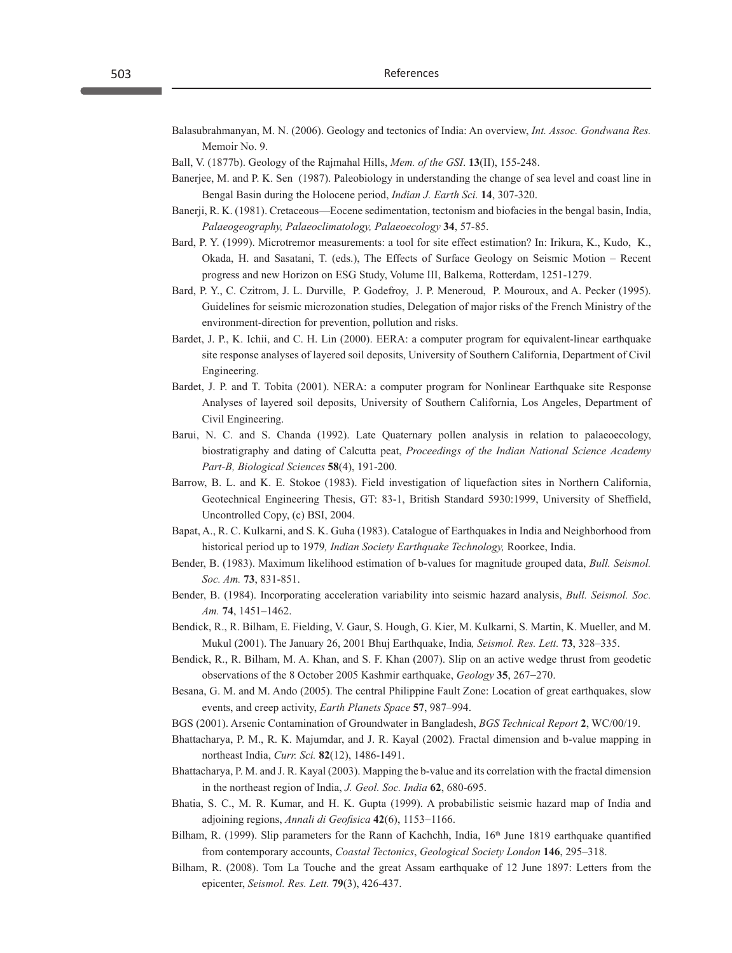Balasubrahmanyan, M. N. (2006). Geology and tectonics of India: An overview, *Int. Assoc. Gondwana Res.* Memoir No. 9.

Ball, V. (1877b). Geology of the Rajmahal Hills, *Mem. of the GSI*. **13**(II), 155-248.

- Banerjee, M. and P. K. Sen (1987). Paleobiology in understanding the change of sea level and coast line in Bengal Basin during the Holocene period, *Indian J. Earth Sci.* **14**, 307-320.
- Banerji, R. K. (1981). Cretaceous—Eocene sedimentation, tectonism and biofacies in the bengal basin, India, *Palaeogeography, Palaeoclimatology, Palaeoecology* **34**, 57-85.
- Bard, P. Y. (1999). Microtremor measurements: a tool for site effect estimation? In: Irikura, K., Kudo, K., Okada, H. and Sasatani, T. (eds.), The Effects of Surface Geology on Seismic Motion – Recent progress and new Horizon on ESG Study, Volume III, Balkema, Rotterdam, 1251-1279.
- Bard, P. Y., C. Czitrom, J. L. Durville, P. Godefroy, J. P. Meneroud, P. Mouroux, and A. Pecker (1995). Guidelines for seismic microzonation studies, Delegation of major risks of the French Ministry of the environment-direction for prevention, pollution and risks.
- Bardet, J. P., K. Ichii, and C. H. Lin (2000). EERA: a computer program for equivalent-linear earthquake site response analyses of layered soil deposits, University of Southern California, Department of Civil Engineering.
- Bardet, J. P. and T. Tobita (2001). NERA: a computer program for Nonlinear Earthquake site Response Analyses of layered soil deposits, University of Southern California, Los Angeles, Department of Civil Engineering.
- Barui, N. C. and S. Chanda (1992). Late Quaternary pollen analysis in relation to palaeoecology, biostratigraphy and dating of Calcutta peat, *Proceedings of the Indian National Science Academy Part-B, Biological Sciences* **58**(4), 191-200.
- Barrow, B. L. and K. E. Stokoe (1983). Field investigation of liquefaction sites in Northern California, Geotechnical Engineering Thesis, GT: 83-1, British Standard 5930:1999, University of Sheffield, Uncontrolled Copy, (c) BSI, 2004.
- Bapat, A., R. C. Kulkarni, and S. K. Guha (1983). Catalogue of Earthquakes in India and Neighborhood from historical period up to 1979*, Indian Society Earthquake Technology,* Roorkee, India.
- Bender, B. (1983). Maximum likelihood estimation of b-values for magnitude grouped data, *Bull. Seismol. Soc. Am.* **73**, 831-851.
- Bender, B. (1984). Incorporating acceleration variability into seismic hazard analysis, *Bull. Seismol. Soc. Am.* **74**, 1451–1462.
- Bendick, R., R. Bilham, E. Fielding, V. Gaur, S. Hough, G. Kier, M. Kulkarni, S. Martin, K. Mueller, and M. Mukul (2001). The January 26, 2001 Bhuj Earthquake, India*, Seismol. Res. Lett.* **73**, 328–335.
- Bendick, R., R. Bilham, M. A. Khan, and S. F. Khan (2007). Slip on an active wedge thrust from geodetic observations of the 8 October 2005 Kashmir earthquake, *Geology* **35**, 267−270.
- Besana, G. M. and M. Ando (2005). The central Philippine Fault Zone: Location of great earthquakes, slow events, and creep activity, *Earth Planets Space* **57**, 987–994.
- BGS (2001). Arsenic Contamination of Groundwater in Bangladesh, *BGS Technical Report* **2**, WC/00/19.
- Bhattacharya, P. M., R. K. Majumdar, and J. R. Kayal (2002). Fractal dimension and b-value mapping in northeast India, *Curr. Sci.* **82**(12), 1486-1491.
- Bhattacharya, P. M. and J. R. Kayal (2003). Mapping the b-value and its correlation with the fractal dimension in the northeast region of India, *J. Geol. Soc. India* **62**, 680-695.
- Bhatia, S. C., M. R. Kumar, and H. K. Gupta (1999). A probabilistic seismic hazard map of India and adjoining regions, *Annali di Geofisica* **42**(6), 1153−1166.
- Bilham, R. (1999). Slip parameters for the Rann of Kachchh, India,  $16<sup>th</sup>$  June 1819 earthquake quantified from contemporary accounts, *Coastal Tectonics*, *Geological Society London* **146**, 295–318.
- Bilham, R. (2008). Tom La Touche and the great Assam earthquake of 12 June 1897: Letters from the epicenter, *Seismol. Res. Lett.* **79**(3), 426-437.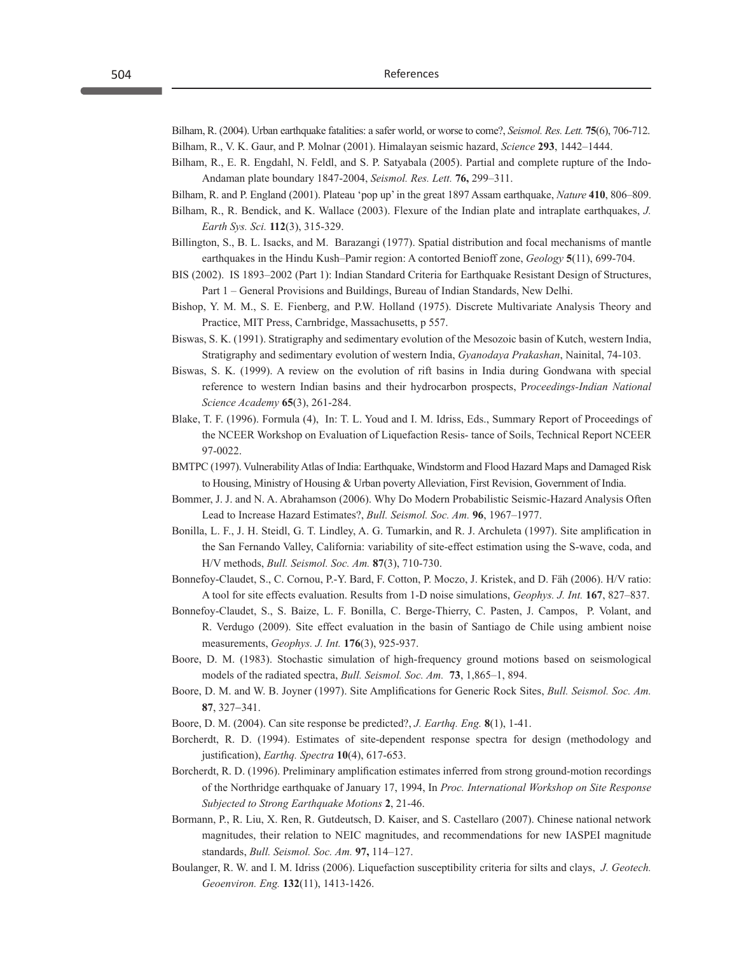Bilham, R. (2004). Urban earthquake fatalities: a safer world, or worse to come?, *Seismol. Res. Lett.* **75**(6), 706-712. Bilham, R., V. K. Gaur, and P. Molnar (2001). Himalayan seismic hazard, *Science* **293**, 1442–1444.

- Bilham, R., E. R. Engdahl, N. Feldl, and S. P. Satyabala (2005). Partial and complete rupture of the Indo-Andaman plate boundary 1847-2004, *Seismol. Res. Lett.* **76,** 299–311.
- Bilham, R. and P. England (2001). Plateau 'pop up' in the great 1897 Assam earthquake, *Nature* **410**, 806–809.
- Bilham, R., R. Bendick, and K. Wallace (2003). Flexure of the Indian plate and intraplate earthquakes, *J. Earth Sys. Sci.* **112**(3), 315-329.
- Billington, S., B. L. Isacks, and M. Barazangi (1977). Spatial distribution and focal mechanisms of mantle earthquakes in the Hindu Kush–Pamir region: A contorted Benioff zone, *Geology* **5**(11), 699-704.
- BIS (2002). IS 1893–2002 (Part 1): Indian Standard Criteria for Earthquake Resistant Design of Structures, Part 1 – General Provisions and Buildings, Bureau of Indian Standards, New Delhi.
- Bishop, Y. M. M., S. E. Fienberg, and P.W. Holland (1975). Discrete Multivariate Analysis Theory and Practice, MIT Press, Carnbridge, Massachusetts, p 557.
- Biswas, S. K. (1991). Stratigraphy and sedimentary evolution of the Mesozoic basin of Kutch, western India, Stratigraphy and sedimentary evolution of western India, *Gyanodaya Prakashan*, Nainital, 74-103.
- Biswas, S. K. (1999). A review on the evolution of rift basins in India during Gondwana with special reference to western Indian basins and their hydrocarbon prospects, P*roceedings-Indian National Science Academy* **65**(3), 261-284.
- Blake, T. F. (1996). Formula (4), In: T. L. Youd and I. M. Idriss, Eds., Summary Report of Proceedings of the NCEER Workshop on Evaluation of Liquefaction Resis- tance of Soils, Technical Report NCEER 97-0022.
- BMTPC (1997). Vulnerability Atlas of India: Earthquake, Windstorm and Flood Hazard Maps and Damaged Risk to Housing, Ministry of Housing & Urban poverty Alleviation, First Revision, Government of India.
- Bommer, J. J. and N. A. Abrahamson (2006). Why Do Modern Probabilistic Seismic-Hazard Analysis Often Lead to Increase Hazard Estimates?, *Bull. Seismol. Soc. Am.* **96**, 1967–1977.
- Bonilla, L. F., J. H. Steidl, G. T. Lindley, A. G. Tumarkin, and R. J. Archuleta (1997). Site amplification in the San Fernando Valley, California: variability of site-effect estimation using the S-wave, coda, and H/V methods, *Bull. Seismol. Soc. Am.* **87**(3), 710-730.
- Bonnefoy-Claudet, S., C. Cornou, P.-Y. Bard, F. Cotton, P. Moczo, J. Kristek, and D. Fäh (2006). H/V ratio: A tool for site effects evaluation. Results from 1-D noise simulations, *Geophys. J. Int.* **167**, 827–837.
- Bonnefoy-Claudet, S., S. Baize, L. F. Bonilla, C. Berge-Thierry, C. Pasten, J. Campos, P. Volant, and R. Verdugo (2009). Site effect evaluation in the basin of Santiago de Chile using ambient noise measurements, *Geophys. J. Int.* **176**(3), 925-937.
- Boore, D. M. (1983). Stochastic simulation of high-frequency ground motions based on seismological models of the radiated spectra, *Bull. Seismol. Soc. Am.* **73**, 1,865–1, 894.
- Boore, D. M. and W. B. Joyner (1997). Site Amplifications for Generic Rock Sites, *Bull. Seismol. Soc. Am.* **87**, 327−341.
- Boore, D. M. (2004). Can site response be predicted?, *J. Earthq. Eng.* **8**(1), 1-41.
- Borcherdt, R. D. (1994). Estimates of site-dependent response spectra for design (methodology and justification), *Earthq. Spectra* **10**(4), 617-653.
- Borcherdt, R. D. (1996). Preliminary amplification estimates inferred from strong ground-motion recordings of the Northridge earthquake of January 17, 1994, In *Proc. International Workshop on Site Response Subjected to Strong Earthquake Motions* **2**, 21-46.
- Bormann, P., R. Liu, X. Ren, R. Gutdeutsch, D. Kaiser, and S. Castellaro (2007). Chinese national network magnitudes, their relation to NEIC magnitudes, and recommendations for new IASPEI magnitude standards, *Bull. Seismol. Soc. Am.* **97,** 114–127.
- Boulanger, R. W. and I. M. Idriss (2006). Liquefaction susceptibility criteria for silts and clays, *J. Geotech. Geoenviron. Eng.* **132**(11), 1413-1426.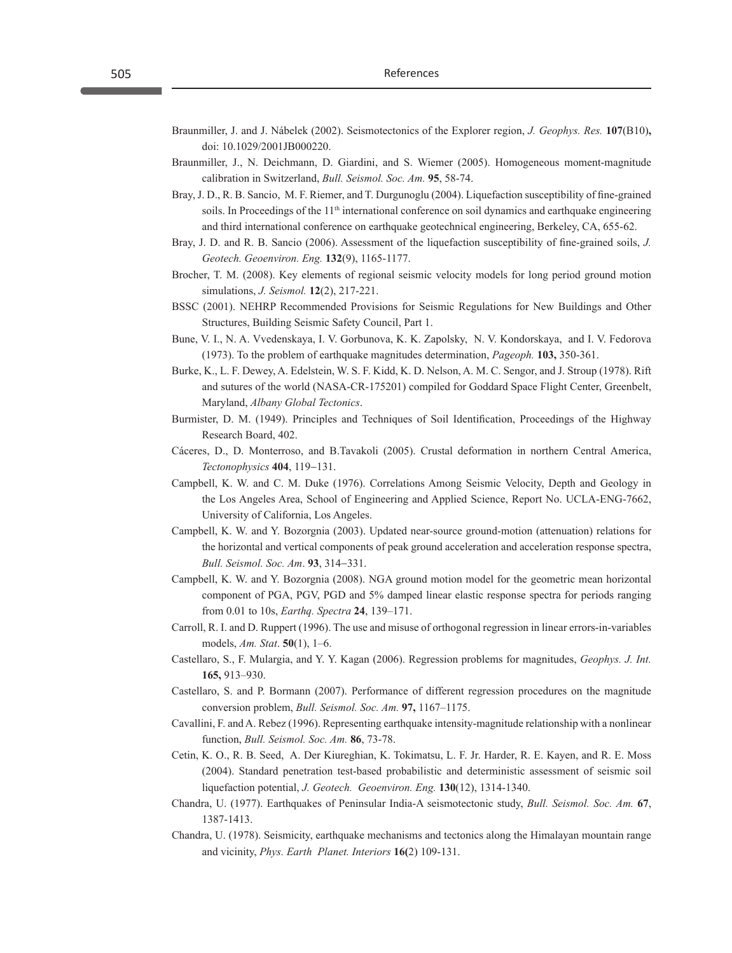- Braunmiller, J. and J. Nábelek (2002). Seismotectonics of the Explorer region, *J. Geophys. Res.* **107**(B10)**,**  doi: 10.1029/2001JB000220.
- Braunmiller, J., N. Deichmann, D. Giardini, and S. Wiemer (2005). Homogeneous moment-magnitude calibration in Switzerland, *Bull. Seismol. Soc. Am.* **95**, 58-74.
- Bray, J. D., R. B. Sancio, M. F. Riemer, and T. Durgunoglu (2004). Liquefaction susceptibility of fine-grained soils. In Proceedings of the  $11<sup>th</sup>$  international conference on soil dynamics and earthquake engineering and third international conference on earthquake geotechnical engineering, Berkeley, CA, 655-62.
- Bray, J. D. and R. B. Sancio (2006). Assessment of the liquefaction susceptibility of fine-grained soils, *J. Geotech. Geoenviron. Eng.* **132**(9), 1165-1177.
- Brocher, T. M. (2008). Key elements of regional seismic velocity models for long period ground motion simulations, *J. Seismol.* **12**(2), 217-221.
- BSSC (2001). NEHRP Recommended Provisions for Seismic Regulations for New Buildings and Other Structures, Building Seismic Safety Council, Part 1.
- Bune, V. I., N. A. Vvedenskaya, I. V. Gorbunova, K. K. Zapolsky, N. V. Kondorskaya, and I. V. Fedorova (1973). To the problem of earthquake magnitudes determination, *Pageoph.* **103,** 350-361.
- Burke, K., L. F. Dewey, A. Edelstein, W. S. F. Kidd, K. D. Nelson, A. M. C. Sengor, and J. Stroup (1978). Rift and sutures of the world (NASA-CR-175201) compiled for Goddard Space Flight Center, Greenbelt, Maryland, *Albany Global Tectonics*.
- Burmister, D. M. (1949). Principles and Techniques of Soil Identification, Proceedings of the Highway Research Board, 402.
- Cáceres, D., D. Monterroso, and B.Tavakoli (2005). Crustal deformation in northern Central America, *Tectonophysics* **404**, 119−131.
- Campbell, K. W. and C. M. Duke (1976). Correlations Among Seismic Velocity, Depth and Geology in the Los Angeles Area, School of Engineering and Applied Science, Report No. UCLA-ENG-7662, University of California, Los Angeles.
- Campbell, K. W. and Y. Bozorgnia (2003). Updated near-source ground-motion (attenuation) relations for the horizontal and vertical components of peak ground acceleration and acceleration response spectra, *Bull. Seismol. Soc. Am*. **93**, 314−331.
- Campbell, K. W. and Y. Bozorgnia (2008). NGA ground motion model for the geometric mean horizontal component of PGA, PGV, PGD and 5% damped linear elastic response spectra for periods ranging from 0.01 to 10s, *Earthq. Spectra* **24**, 139–171.
- Carroll, R. I. and D. Ruppert (1996). The use and misuse of orthogonal regression in linear errors-in-variables models, *Am. Stat*. **50**(1), 1–6.
- Castellaro, S., F. Mulargia, and Y. Y. Kagan (2006). Regression problems for magnitudes, *Geophys. J. Int.*  **165,** 913–930.
- Castellaro, S. and P. Bormann (2007). Performance of different regression procedures on the magnitude conversion problem, *Bull. Seismol. Soc. Am.* **97,** 1167–1175.
- Cavallini, F. and A. Rebez (1996). Representing earthquake intensity-magnitude relationship with a nonlinear function, *Bull. Seismol. Soc. Am.* **86**, 73-78.
- Cetin, K. O., R. B. Seed, A. Der Kiureghian, K. Tokimatsu, L. F. Jr. Harder, R. E. Kayen, and R. E. Moss (2004). Standard penetration test-based probabilistic and deterministic assessment of seismic soil liquefaction potential, *J. Geotech. Geoenviron. Eng.* **130**(12), 1314-1340.
- Chandra, U. (1977). Earthquakes of Peninsular India-A seismotectonic study, *Bull. Seismol. Soc. Am.* **67**, 1387-1413.
- Chandra, U. (1978). Seismicity, earthquake mechanisms and tectonics along the Himalayan mountain range and vicinity, *Phys. Earth Planet. Interiors* **16(**2) 109-131.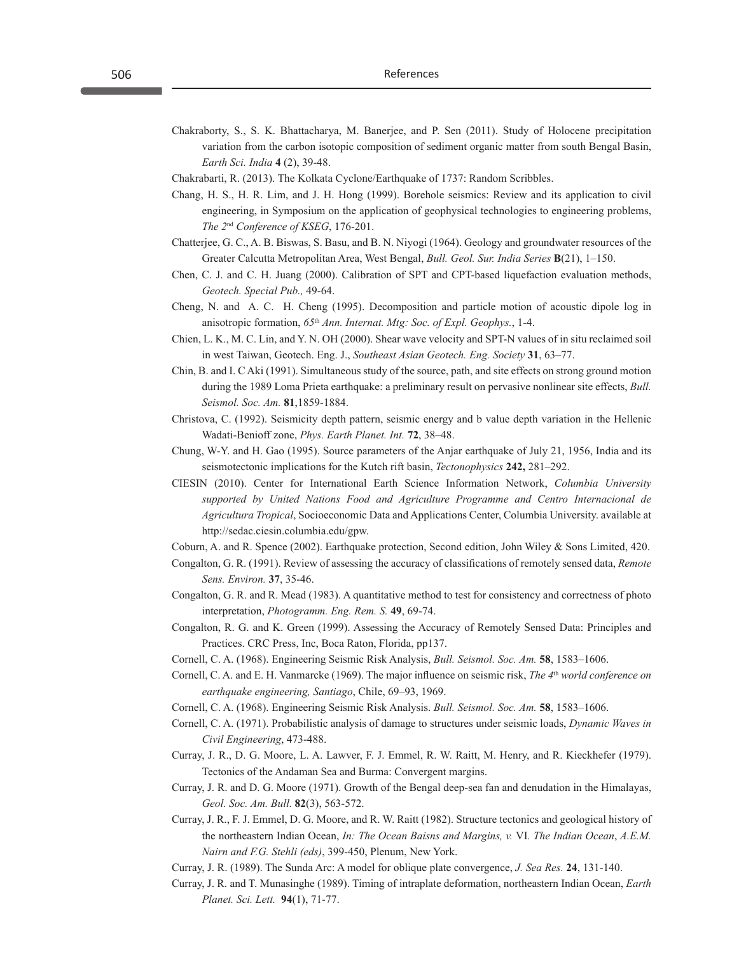- Chakraborty, S., S. K. Bhattacharya, M. Banerjee, and P. Sen (2011). Study of Holocene precipitation variation from the carbon isotopic composition of sediment organic matter from south Bengal Basin, *Earth Sci. India* **4** (2), 39-48.
- Chakrabarti, R. (2013). The Kolkata Cyclone/Earthquake of 1737: Random Scribbles.
- Chang, H. S., H. R. Lim, and J. H. Hong (1999). Borehole seismics: Review and its application to civil engineering, in Symposium on the application of geophysical technologies to engineering problems, *The 2*nd *Conference of KSEG*, 176-201.
- Chatterjee, G. C., A. B. Biswas, S. Basu, and B. N. Niyogi (1964). Geology and groundwater resources of the Greater Calcutta Metropolitan Area, West Bengal, *Bull. Geol. Sur. India Series* **B**(21), 1–150.
- Chen, C. J. and C. H. Juang (2000). Calibration of SPT and CPT-based liquefaction evaluation methods, *Geotech. Special Pub.,* 49-64.
- Cheng, N. and A. C. H. Cheng (1995). Decomposition and particle motion of acoustic dipole log in anisotropic formation, *65*th *Ann. Internat. Mtg: Soc. of Expl. Geophys.*, 1-4.
- Chien, L. K., M. C. Lin, and Y. N. OH (2000). Shear wave velocity and SPT-N values of in situ reclaimed soil in west Taiwan, Geotech. Eng. J., *Southeast Asian Geotech. Eng. Society* **31**, 63–77.
- Chin, B. and I. C Aki (1991). Simultaneous study of the source, path, and site effects on strong ground motion during the 1989 Loma Prieta earthquake: a preliminary result on pervasive nonlinear site effects, *Bull. Seismol. Soc. Am.* **81**,1859-1884.
- Christova, C. (1992). Seismicity depth pattern, seismic energy and b value depth variation in the Hellenic Wadati-Benioff zone, *Phys. Earth Planet. Int.* **72**, 38–48.
- Chung, W-Y. and H. Gao (1995). Source parameters of the Anjar earthquake of July 21, 1956, India and its seismotectonic implications for the Kutch rift basin, *Tectonophysics* **242,** 281–292.
- CIESIN (2010). Center for International Earth Science Information Network, *Columbia University supported by United Nations Food and Agriculture Programme and Centro Internacional de Agricultura Tropical*, Socioeconomic Data and Applications Center, Columbia University. available at http://sedac.ciesin.columbia.edu/gpw.
- Coburn, A. and R. Spence (2002). Earthquake protection, Second edition, John Wiley & Sons Limited, 420.
- Congalton, G. R. (1991). Review of assessing the accuracy of classifications of remotely sensed data, *Remote Sens. Environ.* **37**, 35-46.
- Congalton, G. R. and R. Mead (1983). A quantitative method to test for consistency and correctness of photo interpretation, *Photogramm. Eng. Rem. S.* **49**, 69-74.
- Congalton, R. G. and K. Green (1999). Assessing the Accuracy of Remotely Sensed Data: Principles and Practices. CRC Press, Inc, Boca Raton, Florida, pp137.
- Cornell, C. A. (1968). Engineering Seismic Risk Analysis, *Bull. Seismol. Soc. Am.* **58**, 1583–1606.
- Cornell, C. A. and E. H. Vanmarcke (1969). The major influence on seismic risk, *The 4*th *world conference on earthquake engineering, Santiago*, Chile, 69–93, 1969.
- Cornell, C. A. (1968). Engineering Seismic Risk Analysis. *Bull. Seismol. Soc. Am.* **58**, 1583–1606.
- Cornell, C. A. (1971). Probabilistic analysis of damage to structures under seismic loads, *Dynamic Waves in Civil Engineering*, 473-488.
- Curray, J. R., D. G. Moore, L. A. Lawver, F. J. Emmel, R. W. Raitt, M. Henry, and R. Kieckhefer (1979). Tectonics of the Andaman Sea and Burma: Convergent margins.
- Curray, J. R. and D. G. Moore (1971). Growth of the Bengal deep-sea fan and denudation in the Himalayas, *Geol. Soc. Am. Bull.* **82**(3), 563-572.
- Curray, J. R., F. J. Emmel, D. G. Moore, and R. W. Raitt (1982). Structure tectonics and geological history of the northeastern Indian Ocean, *In: The Ocean Baisns and Margins, v.* VI*. The Indian Ocean*, *A.E.M. Nairn and F.G. Stehli (eds)*, 399-450, Plenum, New York.
- Curray, J. R. (1989). The Sunda Arc: A model for oblique plate convergence, *J. Sea Res.* **24**, 131-140.
- Curray, J. R. and T. Munasinghe (1989). Timing of intraplate deformation, northeastern Indian Ocean, *Earth Planet. Sci. Lett.* **94**(1), 71-77.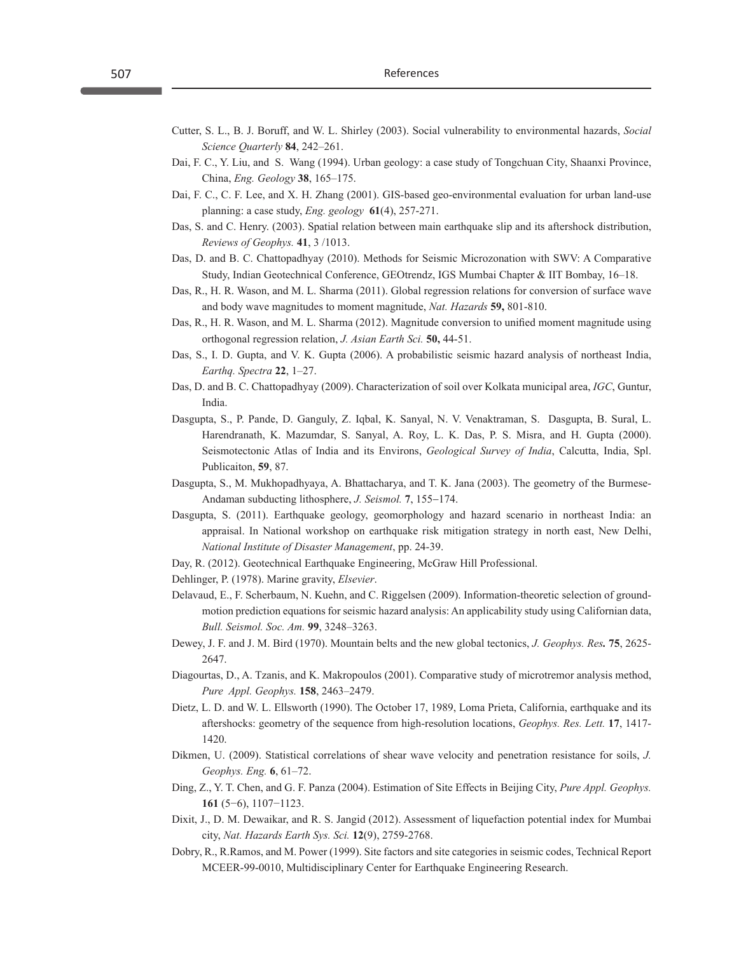- Cutter, S. L., B. J. Boruff, and W. L. Shirley (2003). Social vulnerability to environmental hazards, *Social Science Quarterly* **84**, 242–261.
- Dai, F. C., Y. Liu, and S. Wang (1994). Urban geology: a case study of Tongchuan City, Shaanxi Province, China, *Eng. Geology* **38**, 165–175.
- Dai, F. C., C. F. Lee, and X. H. Zhang (2001). GIS-based geo-environmental evaluation for urban land-use planning: a case study, *Eng. geology* **61**(4), 257-271.
- Das, S. and C. Henry. (2003). Spatial relation between main earthquake slip and its aftershock distribution, *Reviews of Geophys.* **41**, 3 /1013.
- Das, D. and B. C. Chattopadhyay (2010). Methods for Seismic Microzonation with SWV: A Comparative Study, Indian Geotechnical Conference, GEOtrendz, IGS Mumbai Chapter & IIT Bombay, 16–18.
- Das, R., H. R. Wason, and M. L. Sharma (2011). Global regression relations for conversion of surface wave and body wave magnitudes to moment magnitude, *Nat. Hazards* **59,** 801-810.
- Das, R., H. R. Wason, and M. L. Sharma (2012). Magnitude conversion to unified moment magnitude using orthogonal regression relation, *J. Asian Earth Sci.* **50,** 44-51.
- Das, S., I. D. Gupta, and V. K. Gupta (2006). A probabilistic seismic hazard analysis of northeast India, *Earthq. Spectra* **22**, 1–27.
- Das, D. and B. C. Chattopadhyay (2009). Characterization of soil over Kolkata municipal area, *IGC*, Guntur, India.
- Dasgupta, S., P. Pande, D. Ganguly, Z. Iqbal, K. Sanyal, N. V. Venaktraman, S. Dasgupta, B. Sural, L. Harendranath, K. Mazumdar, S. Sanyal, A. Roy, L. K. Das, P. S. Misra, and H. Gupta (2000). Seismotectonic Atlas of India and its Environs, *Geological Survey of India*, Calcutta, India, Spl. Publicaiton, **59**, 87.
- Dasgupta, S., M. Mukhopadhyaya, A. Bhattacharya, and T. K. Jana (2003). The geometry of the Burmese-Andaman subducting lithosphere, *J. Seismol.* **7**, 155-174.
- Dasgupta, S. (2011). Earthquake geology, geomorphology and hazard scenario in northeast India: an appraisal. In National workshop on earthquake risk mitigation strategy in north east, New Delhi, *National Institute of Disaster Management*, pp. 24-39.
- Day, R. (2012). Geotechnical Earthquake Engineering, McGraw Hill Professional.
- Dehlinger, P. (1978). Marine gravity, *Elsevier*.
- Delavaud, E., F. Scherbaum, N. Kuehn, and C. Riggelsen (2009). Information-theoretic selection of groundmotion prediction equations for seismic hazard analysis: An applicability study using Californian data, *Bull. Seismol. Soc. Am.* **99**, 3248–3263.
- Dewey, J. F. and J. M. Bird (1970). Mountain belts and the new global tectonics, *J. Geophys. Res.* **75**, 2625- 2647.
- Diagourtas, D., A. Tzanis, and K. Makropoulos (2001). Comparative study of microtremor analysis method, *Pure Appl. Geophys.* **158**, 2463–2479.
- Dietz, L. D. and W. L. Ellsworth (1990). The October 17, 1989, Loma Prieta, California, earthquake and its aftershocks: geometry of the sequence from high-resolution locations, *Geophys. Res. Lett.* **17**, 1417- 1420.
- Dikmen, U. (2009). Statistical correlations of shear wave velocity and penetration resistance for soils, *J. Geophys. Eng.* **6**, 61–72.
- Ding, Z., Y. T. Chen, and G. F. Panza (2004). Estimation of Site Effects in Beijing City, *Pure Appl. Geophys.*  **161** (5−6), 1107−1123.
- Dixit, J., D. M. Dewaikar, and R. S. Jangid (2012). Assessment of liquefaction potential index for Mumbai city, *Nat. Hazards Earth Sys. Sci.* **12**(9), 2759-2768.
- Dobry, R., R.Ramos, and M. Power (1999). Site factors and site categories in seismic codes, Technical Report MCEER-99-0010, Multidisciplinary Center for Earthquake Engineering Research.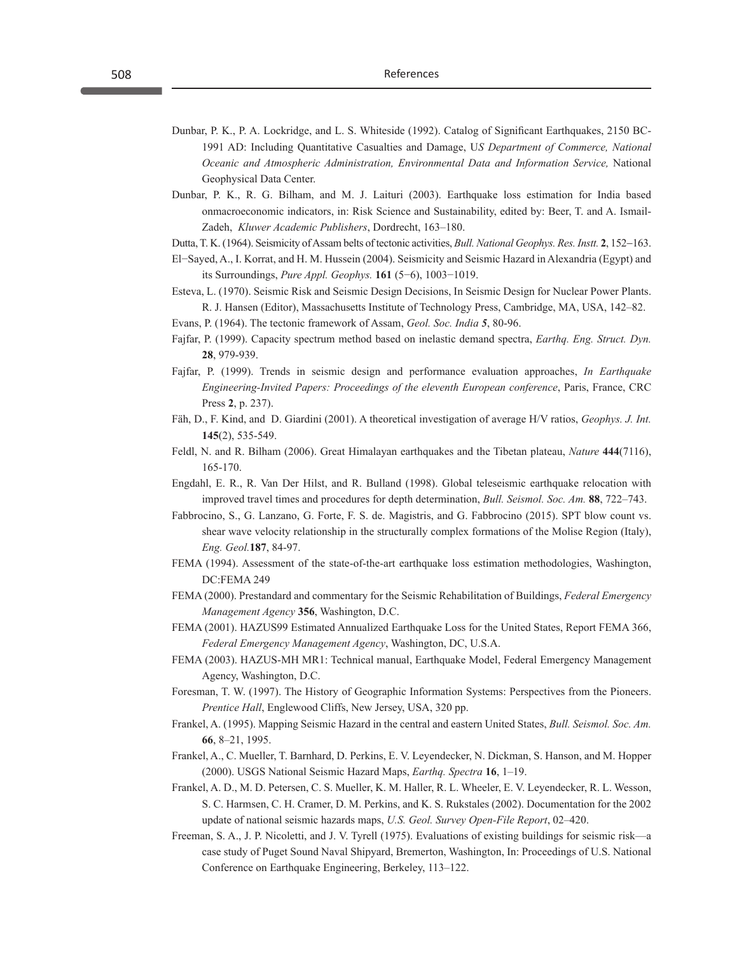- Dunbar, P. K., P. A. Lockridge, and L. S. Whiteside (1992). Catalog of Significant Earthquakes, 2150 BC-1991 AD: Including Quantitative Casualties and Damage, U*S Department of Commerce, National Oceanic and Atmospheric Administration, Environmental Data and Information Service,* National Geophysical Data Center.
- Dunbar, P. K., R. G. Bilham, and M. J. Laituri (2003). Earthquake loss estimation for India based onmacroeconomic indicators, in: Risk Science and Sustainability, edited by: Beer, T. and A. Ismail-Zadeh, *Kluwer Academic Publishers*, Dordrecht, 163–180.

Dutta, T. K. (1964). Seismicity of Assam belts of tectonic activities, *Bull. National Geophys. Res. Instt.* **2**, 152-163.

- El−Sayed, A., I. Korrat, and H. M. Hussein (2004). Seismicity and Seismic Hazard in Alexandria (Egypt) and its Surroundings, *Pure Appl. Geophys.* **161** (5−6), 1003−1019.
- Esteva, L. (1970). Seismic Risk and Seismic Design Decisions, In Seismic Design for Nuclear Power Plants. R. J. Hansen (Editor), Massachusetts Institute of Technology Press, Cambridge, MA, USA, 142–82.
- Evans, P. (1964). The tectonic framework of Assam, *Geol. Soc. India 5*, 80-96.
- Fajfar, P. (1999). Capacity spectrum method based on inelastic demand spectra, *Earthq. Eng. Struct. Dyn.* **28**, 979-939.
- Fajfar, P. (1999). Trends in seismic design and performance evaluation approaches, *In Earthquake Engineering-Invited Papers: Proceedings of the eleventh European conference*, Paris, France, CRC Press **2**, p. 237).
- Fäh, D., F. Kind, and D. Giardini (2001). A theoretical investigation of average H/V ratios, *Geophys. J. Int.* **145**(2), 535-549.
- Feldl, N. and R. Bilham (2006). Great Himalayan earthquakes and the Tibetan plateau, *Nature* **444**(7116), 165-170.
- Engdahl, E. R., R. Van Der Hilst, and R. Bulland (1998). Global teleseismic earthquake relocation with improved travel times and procedures for depth determination, *Bull. Seismol. Soc. Am.* **88**, 722–743.
- Fabbrocino, S., G. Lanzano, G. Forte, F. S. de. Magistris, and G. Fabbrocino (2015). SPT blow count vs. shear wave velocity relationship in the structurally complex formations of the Molise Region (Italy), *Eng. Geol.***187**, 84-97.
- FEMA (1994). Assessment of the state-of-the-art earthquake loss estimation methodologies, Washington, DC:FEMA 249
- FEMA (2000). Prestandard and commentary for the Seismic Rehabilitation of Buildings, *Federal Emergency Management Agency* **356**, Washington, D.C.
- FEMA (2001). HAZUS99 Estimated Annualized Earthquake Loss for the United States, Report FEMA 366, *Federal Emergency Management Agency*, Washington, DC, U.S.A.
- FEMA (2003). HAZUS-MH MR1: Technical manual, Earthquake Model, Federal Emergency Management Agency, Washington, D.C.
- Foresman, T. W. (1997). The History of Geographic Information Systems: Perspectives from the Pioneers. *Prentice Hall*, Englewood Cliffs, New Jersey, USA, 320 pp.
- Frankel, A. (1995). Mapping Seismic Hazard in the central and eastern United States, *Bull. Seismol. Soc. Am.* **66**, 8–21, 1995.
- Frankel, A., C. Mueller, T. Barnhard, D. Perkins, E. V. Leyendecker, N. Dickman, S. Hanson, and M. Hopper (2000). USGS National Seismic Hazard Maps, *Earthq. Spectra* **16**, 1–19.
- Frankel, A. D., M. D. Petersen, C. S. Mueller, K. M. Haller, R. L. Wheeler, E. V. Leyendecker, R. L. Wesson, S. C. Harmsen, C. H. Cramer, D. M. Perkins, and K. S. Rukstales (2002). Documentation for the 2002 update of national seismic hazards maps, *U.S. Geol. Survey Open-File Report*, 02–420.
- Freeman, S. A., J. P. Nicoletti, and J. V. Tyrell (1975). Evaluations of existing buildings for seismic risk—a case study of Puget Sound Naval Shipyard, Bremerton, Washington, In: Proceedings of U.S. National Conference on Earthquake Engineering, Berkeley, 113–122.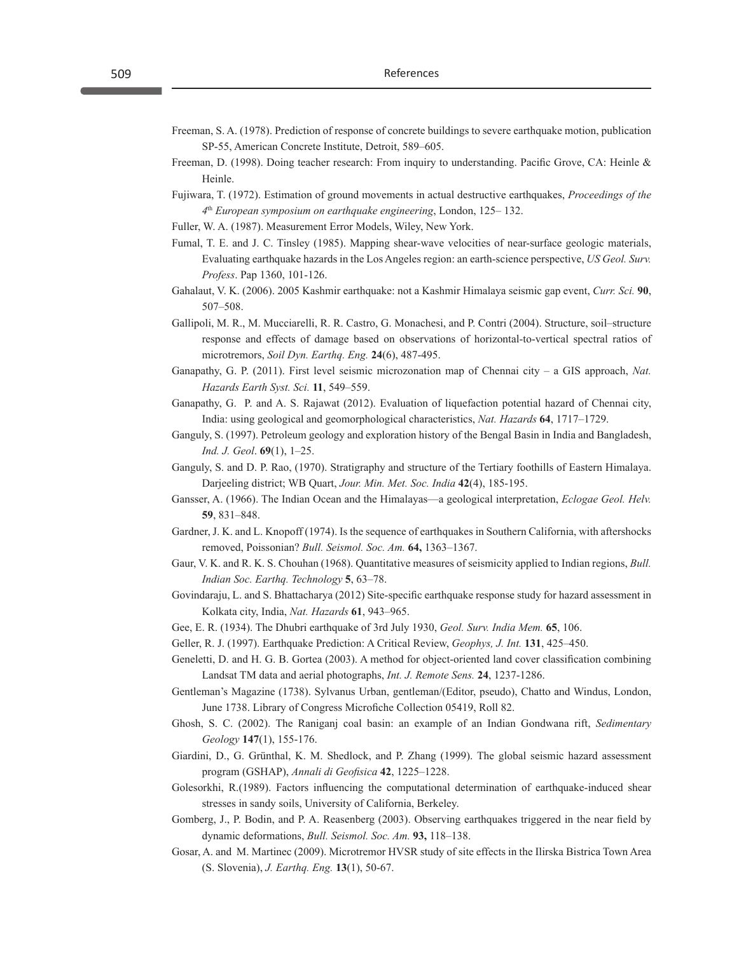- Freeman, S. A. (1978). Prediction of response of concrete buildings to severe earthquake motion, publication SP-55, American Concrete Institute, Detroit, 589–605.
- Freeman, D. (1998). Doing teacher research: From inquiry to understanding. Pacific Grove, CA: Heinle & Heinle.
- Fujiwara, T. (1972). Estimation of ground movements in actual destructive earthquakes, *Proceedings of the 4*th *European symposium on earthquake engineering*, London, 125– 132.
- Fuller, W. A. (1987). Measurement Error Models, Wiley, New York.
- Fumal, T. E. and J. C. Tinsley (1985). Mapping shear-wave velocities of near-surface geologic materials, Evaluating earthquake hazards in the Los Angeles region: an earth-science perspective, *US Geol. Surv. Profess*. Pap 1360, 101-126.
- Gahalaut, V. K. (2006). 2005 Kashmir earthquake: not a Kashmir Himalaya seismic gap event, *Curr. Sci.* **90**, 507–508.
- Gallipoli, M. R., M. Mucciarelli, R. R. Castro, G. Monachesi, and P. Contri (2004). Structure, soil–structure response and effects of damage based on observations of horizontal-to-vertical spectral ratios of microtremors, *Soil Dyn. Earthq. Eng.* **24**(6), 487-495.
- Ganapathy, G. P. (2011). First level seismic microzonation map of Chennai city a GIS approach, *Nat. Hazards Earth Syst. Sci.* **11**, 549–559.
- Ganapathy, G. P. and A. S. Rajawat (2012). Evaluation of liquefaction potential hazard of Chennai city, India: using geological and geomorphological characteristics, *Nat. Hazards* **64**, 1717–1729.
- Ganguly, S. (1997). Petroleum geology and exploration history of the Bengal Basin in India and Bangladesh, *Ind. J. Geol*. **69**(1), 1–25.
- Ganguly, S. and D. P. Rao, (1970). Stratigraphy and structure of the Tertiary foothills of Eastern Himalaya. Darjeeling district; WB Quart, *Jour. Min. Met. Soc. India* **42**(4), 185-195.
- Gansser, A. (1966). The Indian Ocean and the Himalayas—a geological interpretation, *Eclogae Geol. Helv.* **59**, 831–848.
- Gardner, J. K. and L. Knopoff (1974). Is the sequence of earthquakes in Southern California, with aftershocks removed, Poissonian? *Bull. Seismol. Soc. Am.* **64,** 1363–1367.
- Gaur, V. K. and R. K. S. Chouhan (1968). Quantitative measures of seismicity applied to Indian regions, *Bull. Indian Soc. Earthq. Technology* **5**, 63–78.
- Govindaraju, L. and S. Bhattacharya (2012) Site-specific earthquake response study for hazard assessment in Kolkata city, India, *Nat. Hazards* **61**, 943–965.
- Gee, E. R. (1934). The Dhubri earthquake of 3rd July 1930, *Geol. Surv. India Mem.* **65**, 106.
- Geller, R. J. (1997). Earthquake Prediction: A Critical Review, *Geophys, J. Int.* **131**, 425–450.
- Geneletti, D. and H. G. B. Gortea (2003). A method for object-oriented land cover classification combining Landsat TM data and aerial photographs, *Int. J. Remote Sens.* **24**, 1237-1286.
- Gentleman's Magazine (1738). Sylvanus Urban, gentleman/(Editor, pseudo), Chatto and Windus, London, June 1738. Library of Congress Microfiche Collection 05419, Roll 82.
- Ghosh, S. C. (2002). The Raniganj coal basin: an example of an Indian Gondwana rift, *Sedimentary Geology* **147**(1), 155-176.
- Giardini, D., G. Grünthal, K. M. Shedlock, and P. Zhang (1999). The global seismic hazard assessment program (GSHAP), *Annali di Geofisica* **42**, 1225–1228.
- Golesorkhi, R.(1989). Factors influencing the computational determination of earthquake-induced shear stresses in sandy soils, University of California, Berkeley.
- Gomberg, J., P. Bodin, and P. A. Reasenberg (2003). Observing earthquakes triggered in the near field by dynamic deformations, *Bull. Seismol. Soc. Am.* **93,** 118–138.
- Gosar, A. and M. Martinec (2009). Microtremor HVSR study of site effects in the Ilirska Bistrica Town Area (S. Slovenia), *J. Earthq. Eng.* **13**(1), 50-67.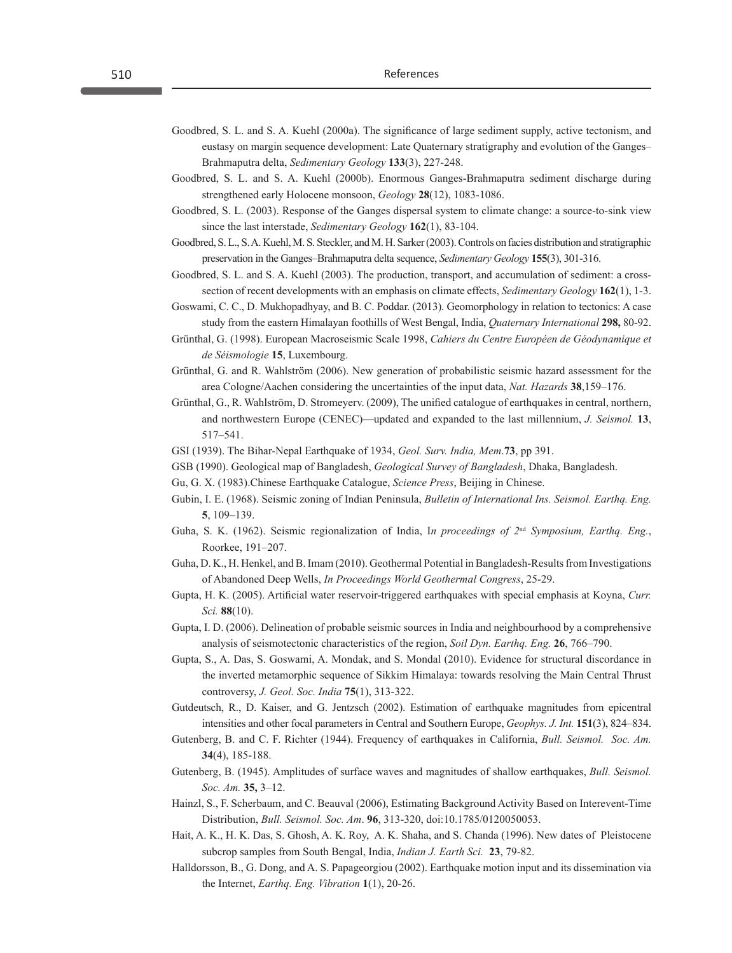- Goodbred, S. L. and S. A. Kuehl (2000a). The significance of large sediment supply, active tectonism, and eustasy on margin sequence development: Late Quaternary stratigraphy and evolution of the Ganges– Brahmaputra delta, *Sedimentary Geology* **133**(3), 227-248.
- Goodbred, S. L. and S. A. Kuehl (2000b). Enormous Ganges-Brahmaputra sediment discharge during strengthened early Holocene monsoon, *Geology* **28**(12), 1083-1086.
- Goodbred, S. L. (2003). Response of the Ganges dispersal system to climate change: a source-to-sink view since the last interstade, *Sedimentary Geology* **162**(1), 83-104.
- Goodbred, S. L., S. A. Kuehl, M. S. Steckler, and M. H. Sarker (2003). Controls on facies distribution and stratigraphic preservation in the Ganges–Brahmaputra delta sequence, *Sedimentary Geology* **155**(3), 301-316.
- Goodbred, S. L. and S. A. Kuehl (2003). The production, transport, and accumulation of sediment: a crosssection of recent developments with an emphasis on climate effects, *Sedimentary Geology* **162**(1), 1-3.
- Goswami, C. C., D. Mukhopadhyay, and B. C. Poddar. (2013). Geomorphology in relation to tectonics: A case study from the eastern Himalayan foothills of West Bengal, India, *Quaternary International* **298,** 80-92.
- Grünthal, G. (1998). European Macroseismic Scale 1998, *Cahiers du Centre Européen de Géodynamique et de Séismologie* **15**, Luxembourg.
- Grünthal, G. and R. Wahlström (2006). New generation of probabilistic seismic hazard assessment for the area Cologne/Aachen considering the uncertainties of the input data, *Nat. Hazards* **38**,159–176.
- Grünthal, G., R. Wahlström, D. Stromeyerv. (2009), The unified catalogue of earthquakes in central, northern, and northwestern Europe (CENEC)—updated and expanded to the last millennium, *J. Seismol.* **13**, 517–541.
- GSI (1939). The Bihar-Nepal Earthquake of 1934, *Geol. Surv. India, Mem*.**73**, pp 391.
- GSB (1990). Geological map of Bangladesh, *Geological Survey of Bangladesh*, Dhaka, Bangladesh.
- Gu, G. X. (1983).Chinese Earthquake Catalogue, *Science Press*, Beijing in Chinese.
- Gubin, I. E. (1968). Seismic zoning of Indian Peninsula, *Bulletin of International Ins. Seismol. Earthq. Eng.* **5**, 109–139.
- Guha, S. K. (1962). Seismic regionalization of India, I*n proceedings of 2*nd *Symposium, Earthq. Eng.*, Roorkee, 191–207.
- Guha, D. K., H. Henkel, and B. Imam (2010). Geothermal Potential in Bangladesh-Results from Investigations of Abandoned Deep Wells, *In Proceedings World Geothermal Congress*, 25-29.
- Gupta, H. K. (2005). Artificial water reservoir-triggered earthquakes with special emphasis at Koyna, *Curr. Sci.* **88**(10).
- Gupta, I. D. (2006). Delineation of probable seismic sources in India and neighbourhood by a comprehensive analysis of seismotectonic characteristics of the region, *Soil Dyn. Earthq. Eng.* **26**, 766–790.
- Gupta, S., A. Das, S. Goswami, A. Mondak, and S. Mondal (2010). Evidence for structural discordance in the inverted metamorphic sequence of Sikkim Himalaya: towards resolving the Main Central Thrust controversy, *J. Geol. Soc. India* **75**(1), 313-322.
- Gutdeutsch, R., D. Kaiser, and G. Jentzsch (2002). Estimation of earthquake magnitudes from epicentral intensities and other focal parameters in Central and Southern Europe, *Geophys. J. Int.* **151**(3), 824–834.
- Gutenberg, B. and C. F. Richter (1944). Frequency of earthquakes in California, *Bull. Seismol. Soc. Am.* **34**(4), 185-188.
- Gutenberg, B. (1945). Amplitudes of surface waves and magnitudes of shallow earthquakes, *Bull. Seismol. Soc. Am.* **35,** 3–12.
- Hainzl, S., F. Scherbaum, and C. Beauval (2006), Estimating Background Activity Based on Interevent-Time Distribution, *Bull. Seismol. Soc. Am*. **96**, 313-320, doi:10.1785/0120050053.
- Hait, A. K., H. K. Das, S. Ghosh, A. K. Roy, A. K. Shaha, and S. Chanda (1996). New dates of Pleistocene subcrop samples from South Bengal, India, *Indian J. Earth Sci.* **23**, 79-82.
- Halldorsson, B., G. Dong, and A. S. Papageorgiou (2002). Earthquake motion input and its dissemination via the Internet, *Earthq. Eng. Vibration* **1**(1), 20-26.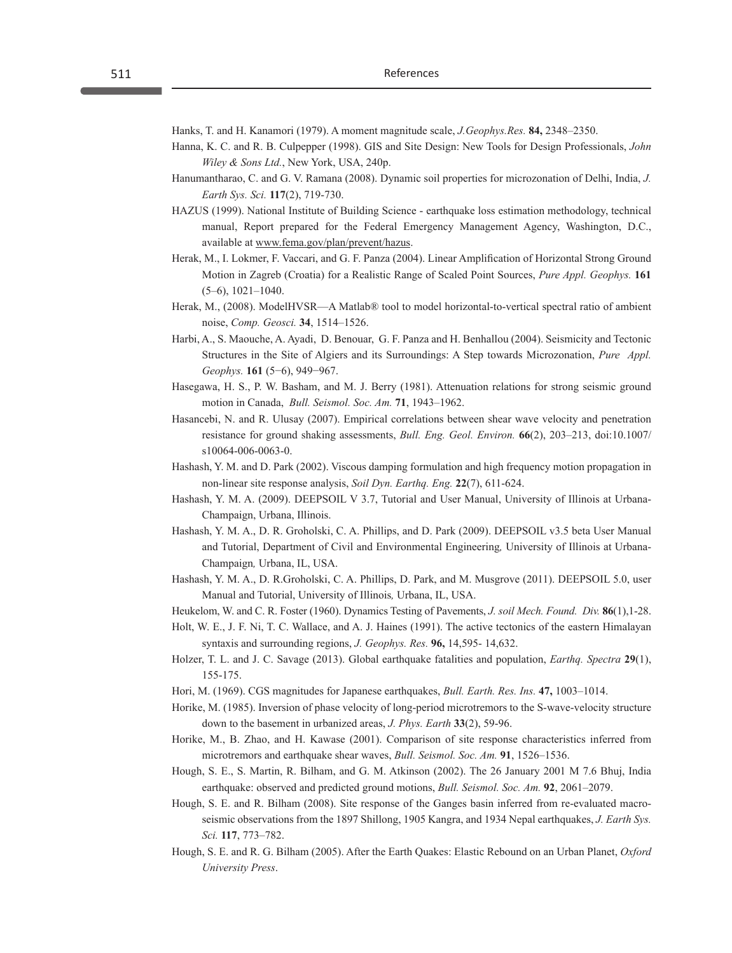Hanks, T. and H. Kanamori (1979). A moment magnitude scale, *J.Geophys.Res.* **84,** 2348–2350.

- Hanna, K. C. and R. B. Culpepper (1998). GIS and Site Design: New Tools for Design Professionals, *John Wiley & Sons Ltd.*, New York, USA, 240p.
- Hanumantharao, C. and G. V. Ramana (2008). Dynamic soil properties for microzonation of Delhi, India, *J. Earth Sys. Sci.* **117**(2), 719-730.
- HAZUS (1999). National Institute of Building Science earthquake loss estimation methodology, technical manual, Report prepared for the Federal Emergency Management Agency, Washington, D.C., available at www.fema.gov/plan/prevent/hazus.
- Herak, M., I. Lokmer, F. Vaccari, and G. F. Panza (2004). Linear Amplification of Horizontal Strong Ground Motion in Zagreb (Croatia) for a Realistic Range of Scaled Point Sources, *Pure Appl. Geophys.* **161**  (5–6), 1021–1040.
- Herak, M., (2008). ModelHVSR—A Matlab® tool to model horizontal-to-vertical spectral ratio of ambient noise, *Comp. Geosci.* **34**, 1514–1526.
- Harbi, A., S. Maouche, A. Ayadi, D. Benouar, G. F. Panza and H. Benhallou (2004). Seismicity and Tectonic Structures in the Site of Algiers and its Surroundings: A Step towards Microzonation, *Pure Appl. Geophys.* **161** (5−6), 949−967.
- Hasegawa, H. S., P. W. Basham, and M. J. Berry (1981). Attenuation relations for strong seismic ground motion in Canada, *Bull. Seismol. Soc. Am.* **71**, 1943–1962.
- Hasancebi, N. and R. Ulusay (2007). Empirical correlations between shear wave velocity and penetration resistance for ground shaking assessments, *Bull. Eng. Geol. Environ.* **66**(2), 203–213, doi:10.1007/ s10064-006-0063-0.
- Hashash, Y. M. and D. Park (2002). Viscous damping formulation and high frequency motion propagation in non-linear site response analysis, *Soil Dyn. Earthq. Eng.* **22**(7), 611-624.
- Hashash, Y. M. A. (2009). DEEPSOIL V 3.7, Tutorial and User Manual, University of Illinois at Urbana-Champaign, Urbana, Illinois.
- Hashash, Y. M. A., D. R. Groholski, C. A. Phillips, and D. Park (2009). DEEPSOIL v3.5 beta User Manual and Tutorial, Department of Civil and Environmental Engineering*,* University of Illinois at Urbana-Champaign*,* Urbana, IL, USA.
- Hashash, Y. M. A., D. R.Groholski, C. A. Phillips, D. Park, and M. Musgrove (2011). DEEPSOIL 5.0, user Manual and Tutorial, University of Illinois*,* Urbana, IL, USA.
- Heukelom, W. and C. R. Foster (1960). Dynamics Testing of Pavements, *J. soil Mech. Found. Div.* **86**(1),1-28.
- Holt, W. E., J. F. Ni, T. C. Wallace, and A. J. Haines (1991). The active tectonics of the eastern Himalayan syntaxis and surrounding regions, *J. Geophys. Res.* **96,** 14,595- 14,632.
- Holzer, T. L. and J. C. Savage (2013). Global earthquake fatalities and population, *Earthq. Spectra* **29**(1), 155-175.
- Hori, M. (1969). CGS magnitudes for Japanese earthquakes, *Bull. Earth. Res. Ins.* **47,** 1003–1014.
- Horike, M. (1985). Inversion of phase velocity of long-period microtremors to the S-wave-velocity structure down to the basement in urbanized areas, *J. Phys. Earth* **33**(2), 59-96.
- Horike, M., B. Zhao, and H. Kawase (2001). Comparison of site response characteristics inferred from microtremors and earthquake shear waves, *Bull. Seismol. Soc. Am.* **91**, 1526–1536.
- Hough, S. E., S. Martin, R. Bilham, and G. M. Atkinson (2002). The 26 January 2001 M 7.6 Bhuj, India earthquake: observed and predicted ground motions, *Bull. Seismol. Soc. Am.* **92**, 2061–2079.
- Hough, S. E. and R. Bilham (2008). Site response of the Ganges basin inferred from re-evaluated macroseismic observations from the 1897 Shillong, 1905 Kangra, and 1934 Nepal earthquakes, *J. Earth Sys. Sci.* **117**, 773–782.
- Hough, S. E. and R. G. Bilham (2005). After the Earth Quakes: Elastic Rebound on an Urban Planet, *Oxford University Press*.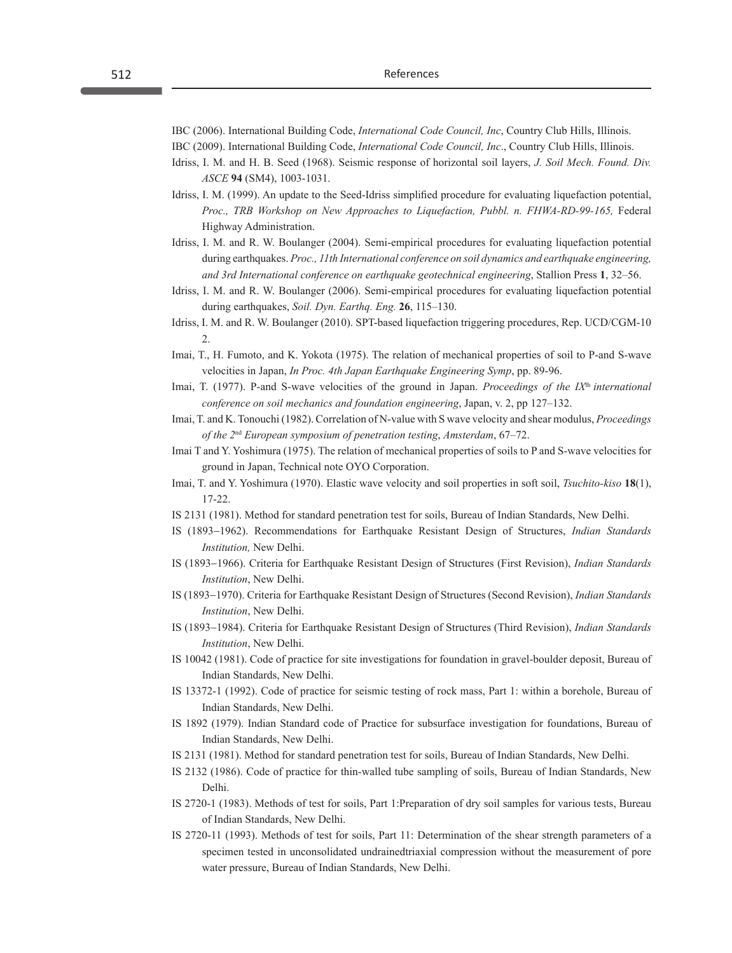IBC (2006). International Building Code, *International Code Council, Inc*, Country Club Hills, Illinois.

IBC (2009). International Building Code, *International Code Council, Inc*., Country Club Hills, Illinois.

- Idriss, I. M. and H. B. Seed (1968). Seismic response of horizontal soil layers, *J. Soil Mech. Found. Div. ASCE* **94** (SM4), 1003-1031.
- Idriss, I. M. (1999). An update to the Seed-Idriss simplified procedure for evaluating liquefaction potential, *Proc., TRB Workshop on New Approaches to Liquefaction, Pubbl. n. FHWA-RD-99-165,* Federal Highway Administration.
- Idriss, I. M. and R. W. Boulanger (2004). Semi-empirical procedures for evaluating liquefaction potential during earthquakes. *Proc., 11th International conference on soil dynamics and earthquake engineering, and 3rd International conference on earthquake geotechnical engineering*, Stallion Press **1**, 32–56.
- Idriss, I. M. and R. W. Boulanger (2006). Semi-empirical procedures for evaluating liquefaction potential during earthquakes, *Soil. Dyn. Earthq. Eng.* **26**, 115–130.
- Idriss, I. M. and R. W. Boulanger (2010). SPT-based liquefaction triggering procedures, Rep. UCD/CGM-10  $\mathfrak{D}$
- Imai, T., H. Fumoto, and K. Yokota (1975). The relation of mechanical properties of soil to P-and S-wave velocities in Japan, *In Proc. 4th Japan Earthquake Engineering Symp*, pp. 89-96.
- Imai, T. (1977). P-and S-wave velocities of the ground in Japan. *Proceedings of the IX<sup>th</sup> international conference on soil mechanics and foundation engineering*, Japan, v. 2, pp 127–132.
- Imai, T. and K. Tonouchi (1982). Correlation of N-value with S wave velocity and shear modulus, *Proceedings of the 2*nd *European symposium of penetration testing*, *Amsterdam*, 67–72.
- Imai T and Y. Yoshimura (1975). The relation of mechanical properties of soils to P and S-wave velocities for ground in Japan, Technical note OYO Corporation.
- Imai, T. and Y. Yoshimura (1970). Elastic wave velocity and soil properties in soft soil, *Tsuchito-kiso* **18**(1), 17-22.
- IS 2131 (1981). Method for standard penetration test for soils, Bureau of Indian Standards, New Delhi.
- IS (1893−1962). Recommendations for Earthquake Resistant Design of Structures, *Indian Standards Institution,* New Delhi.
- IS (1893−1966). Criteria for Earthquake Resistant Design of Structures (First Revision), *Indian Standards Institution*, New Delhi.
- IS (1893−1970). Criteria for Earthquake Resistant Design of Structures (Second Revision), *Indian Standards Institution*, New Delhi.
- IS (1893−1984). Criteria for Earthquake Resistant Design of Structures (Third Revision), *Indian Standards Institution*, New Delhi.
- IS 10042 (1981). Code of practice for site investigations for foundation in gravel-boulder deposit, Bureau of Indian Standards, New Delhi.
- IS 13372-1 (1992). Code of practice for seismic testing of rock mass, Part 1: within a borehole, Bureau of Indian Standards, New Delhi.
- IS 1892 (1979). Indian Standard code of Practice for subsurface investigation for foundations, Bureau of Indian Standards, New Delhi.
- IS 2131 (1981). Method for standard penetration test for soils, Bureau of Indian Standards, New Delhi.
- IS 2132 (1986). Code of practice for thin-walled tube sampling of soils, Bureau of Indian Standards, New Delhi.
- IS 2720-1 (1983). Methods of test for soils, Part 1:Preparation of dry soil samples for various tests, Bureau of Indian Standards, New Delhi.
- IS 2720-11 (1993). Methods of test for soils, Part 11: Determination of the shear strength parameters of a specimen tested in unconsolidated undrainedtriaxial compression without the measurement of pore water pressure, Bureau of Indian Standards, New Delhi.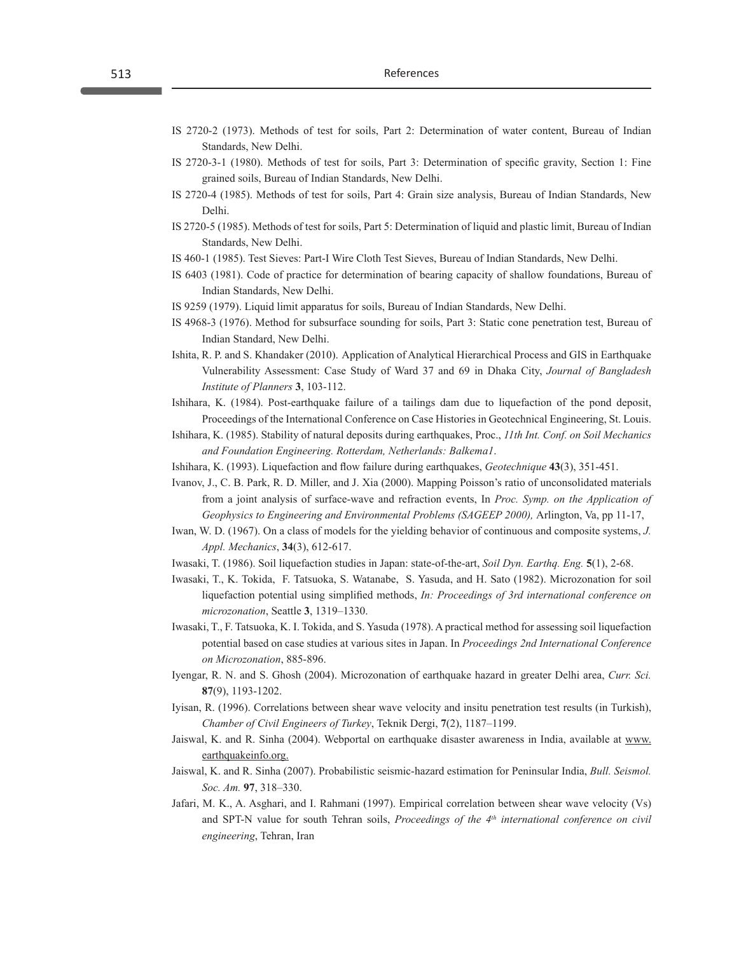- IS 2720-2 (1973). Methods of test for soils, Part 2: Determination of water content, Bureau of Indian Standards, New Delhi.
- IS 2720-3-1 (1980). Methods of test for soils, Part 3: Determination of specific gravity, Section 1: Fine grained soils, Bureau of Indian Standards, New Delhi.
- IS 2720-4 (1985). Methods of test for soils, Part 4: Grain size analysis, Bureau of Indian Standards, New Delhi.
- IS 2720-5 (1985). Methods of test for soils, Part 5: Determination of liquid and plastic limit, Bureau of Indian Standards, New Delhi.
- IS 460-1 (1985). Test Sieves: Part-I Wire Cloth Test Sieves, Bureau of Indian Standards, New Delhi.
- IS 6403 (1981). Code of practice for determination of bearing capacity of shallow foundations, Bureau of Indian Standards, New Delhi.
- IS 9259 (1979). Liquid limit apparatus for soils, Bureau of Indian Standards, New Delhi.
- IS 4968-3 (1976). Method for subsurface sounding for soils, Part 3: Static cone penetration test, Bureau of Indian Standard, New Delhi.
- Ishita, R. P. and S. Khandaker (2010).  Application of Analytical Hierarchical Process and GIS in Earthquake Vulnerability Assessment: Case Study of Ward 37 and 69 in Dhaka City, *Journal of Bangladesh Institute of Planners* **3**, 103-112.
- Ishihara, K. (1984). Post-earthquake failure of a tailings dam due to liquefaction of the pond deposit, Proceedings of the International Conference on Case Histories in Geotechnical Engineering, St. Louis.
- Ishihara, K. (1985). Stability of natural deposits during earthquakes, Proc., *11th Int. Conf. on Soil Mechanics and Foundation Engineering. Rotterdam, Netherlands: Balkema1*.
- Ishihara, K. (1993). Liquefaction and flow failure during earthquakes, *Geotechnique* **43**(3), 351-451.
- Ivanov, J., C. B. Park, R. D. Miller, and J. Xia (2000). Mapping Poisson's ratio of unconsolidated materials from a joint analysis of surface-wave and refraction events, In *Proc. Symp. on the Application of Geophysics to Engineering and Environmental Problems (SAGEEP 2000), Arlington, Va, pp 11-17,*
- Iwan, W. D. (1967). On a class of models for the yielding behavior of continuous and composite systems, *J. Appl. Mechanics*, **34**(3), 612-617.
- Iwasaki, T. (1986). Soil liquefaction studies in Japan: state-of-the-art, *Soil Dyn. Earthq. Eng.* **5**(1), 2-68.
- Iwasaki, T., K. Tokida, F. Tatsuoka, S. Watanabe, S. Yasuda, and H. Sato (1982). Microzonation for soil liquefaction potential using simplified methods, *In: Proceedings of 3rd international conference on microzonation*, Seattle **3**, 1319–1330.
- Iwasaki, T., F. Tatsuoka, K. I. Tokida, and S. Yasuda (1978). A practical method for assessing soil liquefaction potential based on case studies at various sites in Japan. In *Proceedings 2nd International Conference on Microzonation*, 885-896.
- Iyengar, R. N. and S. Ghosh (2004). Microzonation of earthquake hazard in greater Delhi area, *Curr. Sci.*  **87**(9), 1193-1202.
- Iyisan, R. (1996). Correlations between shear wave velocity and insitu penetration test results (in Turkish), *Chamber of Civil Engineers of Turkey*, Teknik Dergi, **7**(2), 1187–1199.
- Jaiswal, K. and R. Sinha (2004). Webportal on earthquake disaster awareness in India, available at www. earthquakeinfo.org.
- Jaiswal, K. and R. Sinha (2007). Probabilistic seismic-hazard estimation for Peninsular India, *Bull. Seismol. Soc. Am.* **97**, 318–330.
- Jafari, M. K., A. Asghari, and I. Rahmani (1997). Empirical correlation between shear wave velocity (Vs) and SPT-N value for south Tehran soils, *Proceedings of the 4<sup>th</sup> international conference on civil engineering*, Tehran, Iran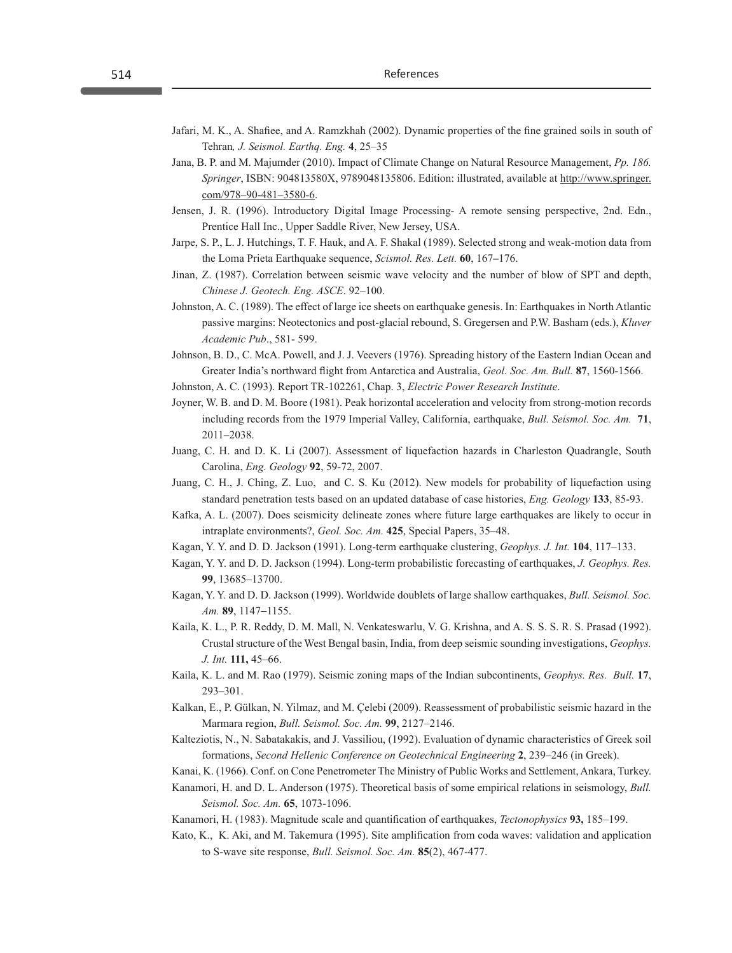- Jafari, M. K., A. Shafiee, and A. Ramzkhah (2002). Dynamic properties of the fine grained soils in south of Tehran*, J. Seismol. Earthq. Eng.* **4**, 25–35
- Jana, B. P. and M. Majumder (2010). Impact of Climate Change on Natural Resource Management, *Pp. 186. Springer*, ISBN: 904813580X, 9789048135806. Edition: illustrated, available at http://www.springer. com/978–90-481–3580-6.
- Jensen, J. R. (1996). Introductory Digital Image Processing- A remote sensing perspective, 2nd. Edn., Prentice Hall Inc., Upper Saddle River, New Jersey, USA.
- Jarpe, S. P., L. J. Hutchings, T. F. Hauk, and A. F. Shakal (1989). Selected strong and weak-motion data from the Loma Prieta Earthquake sequence, *Scismol. Res. Lett.* **60**, 167**–**176.
- Jinan, Z. (1987). Correlation between seismic wave velocity and the number of blow of SPT and depth, *Chinese J. Geotech. Eng. ASCE*. 92–100.
- Johnston, A. C. (1989). The effect of large ice sheets on earthquake genesis. In: Earthquakes in North Atlantic passive margins: Neotectonics and post-glacial rebound, S. Gregersen and P.W. Basham (eds.), *Kluver Academic Pub*., 581- 599.
- Johnson, B. D., C. McA. Powell, and J. J. Veevers (1976). Spreading history of the Eastern Indian Ocean and Greater India's northward flight from Antarctica and Australia, *Geol. Soc. Am. Bull.* **87**, 1560-1566.
- Johnston, A. C. (1993). Report TR-102261, Chap. 3, *Electric Power Research Institute*.
- Joyner, W. B. and D. M. Boore (1981). Peak horizontal acceleration and velocity from strong-motion records including records from the 1979 Imperial Valley, California, earthquake, *Bull. Seismol. Soc. Am.* **71**, 2011–2038.
- Juang, C. H. and D. K. Li (2007). Assessment of liquefaction hazards in Charleston Quadrangle, South Carolina, *Eng. Geology* **92**, 59-72, 2007.
- Juang, C. H., J. Ching, Z. Luo, and C. S. Ku (2012). New models for probability of liquefaction using standard penetration tests based on an updated database of case histories, *Eng. Geology* **133**, 85-93.
- Kafka, A. L. (2007). Does seismicity delineate zones where future large earthquakes are likely to occur in intraplate environments?, *Geol. Soc. Am.* **425**, Special Papers, 35–48.
- Kagan, Y. Y. and D. D. Jackson (1991). Long-term earthquake clustering, *Geophys. J. Int.* **104**, 117–133.
- Kagan, Y. Y. and D. D. Jackson (1994). Long-term probabilistic forecasting of earthquakes, *J. Geophys. Res.* **99**, 13685–13700.
- Kagan, Y. Y. and D. D. Jackson (1999). Worldwide doublets of large shallow earthquakes, *Bull. Seismol. Soc. Am.* **89**, 1147−1155.
- Kaila, K. L., P. R. Reddy, D. M. Mall, N. Venkateswarlu, V. G. Krishna, and A. S. S. S. R. S. Prasad (1992). Crustal structure of the West Bengal basin, India, from deep seismic sounding investigations, *Geophys. J. Int.* **111,** 45–66.
- Kaila, K. L. and M. Rao (1979). Seismic zoning maps of the Indian subcontinents, *Geophys. Res. Bull.* **17**, 293–301.
- Kalkan, E., P. Gülkan, N. Yilmaz, and M. Çelebi (2009). Reassessment of probabilistic seismic hazard in the Marmara region, *Bull. Seismol. Soc. Am.* **99**, 2127–2146.
- Kalteziotis, N., N. Sabatakakis, and J. Vassiliou, (1992). Evaluation of dynamic characteristics of Greek soil formations, *Second Hellenic Conference on Geotechnical Engineering* **2**, 239–246 (in Greek).
- Kanai, K. (1966). Conf. on Cone Penetrometer The Ministry of Public Works and Settlement, Ankara, Turkey.
- Kanamori, H. and D. L. Anderson (1975). Theoretical basis of some empirical relations in seismology, *Bull. Seismol. Soc. Am.* **65**, 1073-1096.
- Kanamori, H. (1983). Magnitude scale and quantification of earthquakes, *Tectonophysics* **93,** 185–199.
- Kato, K., K. Aki, and M. Takemura (1995). Site amplification from coda waves: validation and application to S-wave site response, *Bull. Seismol. Soc. Am.* **85**(2), 467-477.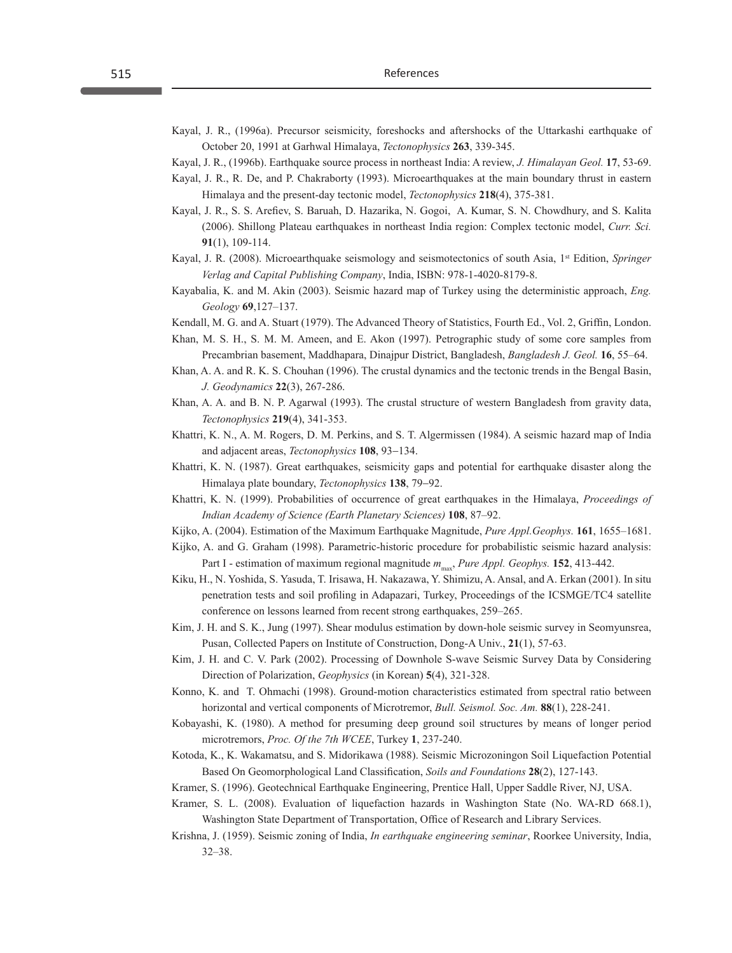- Kayal, J. R., (1996a). Precursor seismicity, foreshocks and aftershocks of the Uttarkashi earthquake of October 20, 1991 at Garhwal Himalaya, *Tectonophysics* **263**, 339-345.
- Kayal, J. R., (1996b). Earthquake source process in northeast India: A review, *J. Himalayan Geol.* **17**, 53-69.
- Kayal, J. R., R. De, and P. Chakraborty (1993). Microearthquakes at the main boundary thrust in eastern Himalaya and the present-day tectonic model, *Tectonophysics* **218**(4), 375-381.
- Kayal, J. R., S. S. Arefiev, S. Baruah, D. Hazarika, N. Gogoi, A. Kumar, S. N. Chowdhury, and S. Kalita (2006). Shillong Plateau earthquakes in northeast India region: Complex tectonic model, *Curr. Sci.* **91**(1), 109-114.
- Kayal, J. R. (2008). Microearthquake seismology and seismotectonics of south Asia, 1st Edition, *Springer Verlag and Capital Publishing Company*, India, ISBN: 978-1-4020-8179-8.
- Kayabalia, K. and M. Akin (2003). Seismic hazard map of Turkey using the deterministic approach, *Eng. Geology* **69**,127–137.
- Kendall, M. G. and A. Stuart (1979). The Advanced Theory of Statistics, Fourth Ed., Vol. 2, Griffin, London.
- Khan, M. S. H., S. M. M. Ameen, and E. Akon (1997). Petrographic study of some core samples from Precambrian basement, Maddhapara, Dinajpur District, Bangladesh, *Bangladesh J. Geol.* **16**, 55–64.
- Khan, A. A. and R. K. S. Chouhan (1996). The crustal dynamics and the tectonic trends in the Bengal Basin, *J. Geodynamics* **22**(3), 267-286.
- Khan, A. A. and B. N. P. Agarwal (1993). The crustal structure of western Bangladesh from gravity data, *Tectonophysics* **219**(4), 341-353.
- Khattri, K. N., A. M. Rogers, D. M. Perkins, and S. T. Algermissen (1984). A seismic hazard map of India and adjacent areas, *Tectonophysics* **108**, 93−134.
- Khattri, K. N. (1987). Great earthquakes, seismicity gaps and potential for earthquake disaster along the Himalaya plate boundary, *Tectonophysics* **138**, 79−92.
- Khattri, K. N. (1999). Probabilities of occurrence of great earthquakes in the Himalaya, *Proceedings of Indian Academy of Science (Earth Planetary Sciences)* **108**, 87–92.
- Kijko, A. (2004). Estimation of the Maximum Earthquake Magnitude, *Pure Appl.Geophys.* **161**, 1655–1681.
- Kijko, A. and G. Graham (1998). Parametric-historic procedure for probabilistic seismic hazard analysis: Part I - estimation of maximum regional magnitude  $m_{\text{max}}$ , *Pure Appl. Geophys.* **152**, 413-442.
- Kiku, H., N. Yoshida, S. Yasuda, T. Irisawa, H. Nakazawa, Y. Shimizu, A. Ansal, and A. Erkan (2001). In situ penetration tests and soil profiling in Adapazari, Turkey, Proceedings of the ICSMGE/TC4 satellite conference on lessons learned from recent strong earthquakes, 259–265.
- Kim, J. H. and S. K., Jung (1997). Shear modulus estimation by down-hole seismic survey in Seomyunsrea, Pusan, Collected Papers on Institute of Construction, Dong-A Univ., **21**(1), 57-63.
- Kim, J. H. and C. V. Park (2002). Processing of Downhole S-wave Seismic Survey Data by Considering Direction of Polarization, *Geophysics* (in Korean) **5**(4), 321-328.
- Konno, K. and T. Ohmachi (1998). Ground-motion characteristics estimated from spectral ratio between horizontal and vertical components of Microtremor, *Bull. Seismol. Soc. Am.* **88**(1), 228-241.
- Kobayashi, K. (1980). A method for presuming deep ground soil structures by means of longer period microtremors, *Proc. Of the 7th WCEE*, Turkey **1**, 237-240.
- Kotoda, K., K. Wakamatsu, and S. Midorikawa (1988). Seismic Microzoningon Soil Liquefaction Potential Based On Geomorphological Land Classification, *Soils and Foundations* **28**(2), 127-143.
- Kramer, S. (1996). Geotechnical Earthquake Engineering, Prentice Hall, Upper Saddle River, NJ, USA.
- Kramer, S. L. (2008). Evaluation of liquefaction hazards in Washington State (No. WA-RD 668.1), Washington State Department of Transportation, Office of Research and Library Services.
- Krishna, J. (1959). Seismic zoning of India, *In earthquake engineering seminar*, Roorkee University, India, 32–38.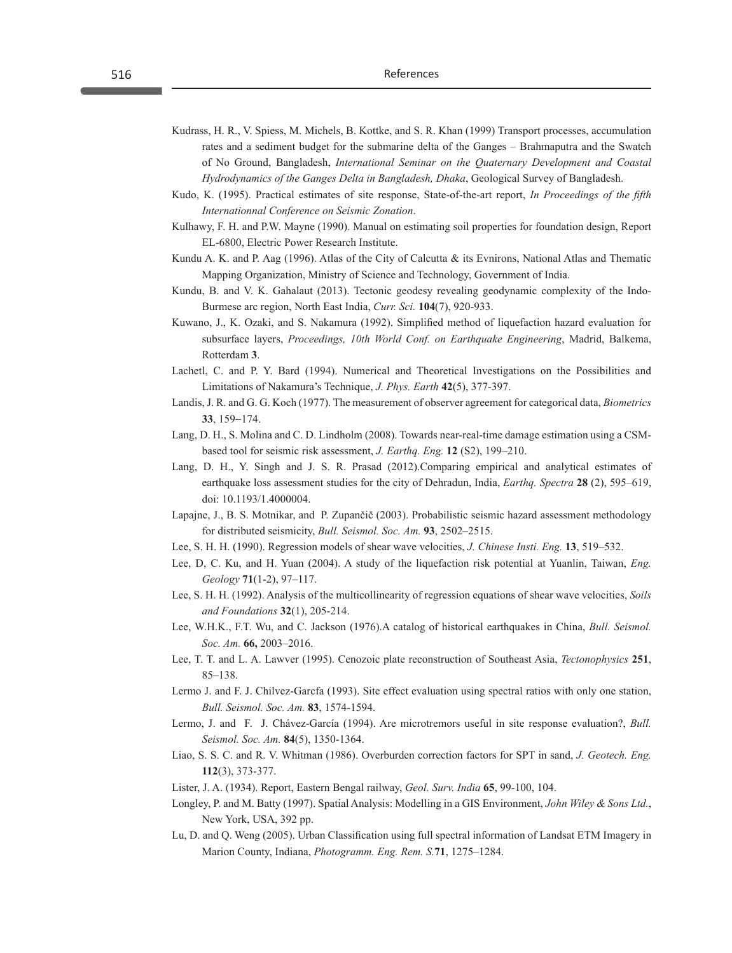- Kudrass, H. R., V. Spiess, M. Michels, B. Kottke, and S. R. Khan (1999) Transport processes, accumulation rates and a sediment budget for the submarine delta of the Ganges – Brahmaputra and the Swatch of No Ground, Bangladesh, *International Seminar on the Quaternary Development and Coastal Hydrodynamics of the Ganges Delta in Bangladesh, Dhaka*, Geological Survey of Bangladesh.
- Kudo, K. (1995). Practical estimates of site response, State-of-the-art report, *In Proceedings of the fifth Internationnal Conference on Seismic Zonation*.
- Kulhawy, F. H. and P.W. Mayne (1990). Manual on estimating soil properties for foundation design, Report EL-6800, Electric Power Research Institute.
- Kundu A. K. and P. Aag (1996). Atlas of the City of Calcutta & its Evnirons, National Atlas and Thematic Mapping Organization, Ministry of Science and Technology, Government of India.
- Kundu, B. and V. K. Gahalaut (2013). Tectonic geodesy revealing geodynamic complexity of the Indo-Burmese arc region, North East India, *Curr. Sci.* **104**(7), 920-933.
- Kuwano, J., K. Ozaki, and S. Nakamura (1992). Simplified method of liquefaction hazard evaluation for subsurface layers, *Proceedings, 10th World Conf. on Earthquake Engineering*, Madrid, Balkema, Rotterdam **3**.
- Lachetl, C. and P. Y. Bard (1994). Numerical and Theoretical Investigations on the Possibilities and Limitations of Nakamura's Technique, *J. Phys. Earth* **42**(5), 377-397.
- Landis, J. R. and G. G. Koch (1977). The measurement of observer agreement for categorical data, *Biometrics* **33**, 159-174.
- Lang, D. H., S. Molina and C. D. Lindholm (2008). Towards near-real-time damage estimation using a CSMbased tool for seismic risk assessment, *J. Earthq. Eng.* **12** (S2), 199–210.
- Lang, D. H., Y. Singh and J. S. R. Prasad (2012).Comparing empirical and analytical estimates of earthquake loss assessment studies for the city of Dehradun, India, *Earthq. Spectra* **28** (2), 595–619, doi: 10.1193/1.4000004.
- Lapajne, J., B. S. Motnikar, and P. Zupančič (2003). Probabilistic seismic hazard assessment methodology for distributed seismicity, *Bull. Seismol. Soc. Am.* **93**, 2502–2515.
- Lee, S. H. H. (1990). Regression models of shear wave velocities, *J. Chinese Insti. Eng.* **13**, 519–532.
- Lee, D, C. Ku, and H. Yuan (2004). A study of the liquefaction risk potential at Yuanlin, Taiwan, *Eng. Geology* **71**(1-2), 97–117.
- Lee, S. H. H. (1992). Analysis of the multicollinearity of regression equations of shear wave velocities, *Soils and Foundations* **32**(1), 205-214.
- Lee, W.H.K., F.T. Wu, and C. Jackson (1976).A catalog of historical earthquakes in China, *Bull. Seismol. Soc. Am.* **66,** 2003–2016.
- Lee, T. T. and L. A. Lawver (1995). Cenozoic plate reconstruction of Southeast Asia, *Tectonophysics* **251**, 85–138.
- Lermo J. and F. J. Chilvez-Garcfa (1993). Site effect evaluation using spectral ratios with only one station, *Bull. Seismol. Soc. Am.* **83**, 1574-1594.
- Lermo, J. and F. J. Chávez-García (1994). Are microtremors useful in site response evaluation?, *Bull. Seismol. Soc. Am.* **84**(5), 1350-1364.
- Liao, S. S. C. and R. V. Whitman (1986). Overburden correction factors for SPT in sand, *J. Geotech. Eng.*  **112**(3), 373-377.
- Lister, J. A. (1934). Report, Eastern Bengal railway, *Geol. Surv. India* **65**, 99-100, 104.
- Longley, P. and M. Batty (1997). Spatial Analysis: Modelling in a GIS Environment, *John Wiley & Sons Ltd.*, New York, USA, 392 pp.
- Lu, D. and Q. Weng (2005). Urban Classification using full spectral information of Landsat ETM Imagery in Marion County, Indiana, *Photogramm. Eng. Rem. S.***71**, 1275–1284.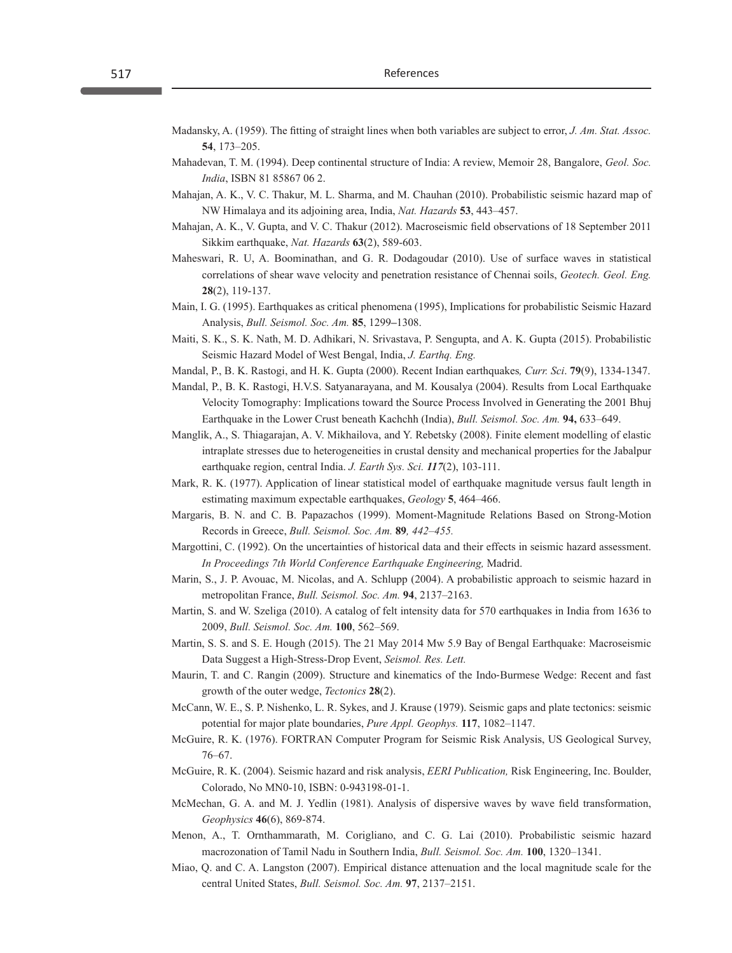- Madansky, A. (1959). The fitting of straight lines when both variables are subject to error, *J. Am. Stat. Assoc.* **54**, 173–205.
- Mahadevan, T. M. (1994). Deep continental structure of India: A review, Memoir 28, Bangalore, *Geol. Soc. India*, ISBN 81 85867 06 2.
- Mahajan, A. K., V. C. Thakur, M. L. Sharma, and M. Chauhan (2010). Probabilistic seismic hazard map of NW Himalaya and its adjoining area, India, *Nat. Hazards* **53**, 443–457.
- Mahajan, A. K., V. Gupta, and V. C. Thakur (2012). Macroseismic field observations of 18 September 2011 Sikkim earthquake, *Nat. Hazards* **63**(2), 589-603.
- Maheswari, R. U, A. Boominathan, and G. R. Dodagoudar (2010). Use of surface waves in statistical correlations of shear wave velocity and penetration resistance of Chennai soils, *Geotech. Geol. Eng.* **28**(2), 119-137.
- Main, I. G. (1995). Earthquakes as critical phenomena (1995), Implications for probabilistic Seismic Hazard Analysis, *Bull. Seismol. Soc. Am.* **85**, 1299**–**1308.
- Maiti, S. K., S. K. Nath, M. D. Adhikari, N. Srivastava, P. Sengupta, and A. K. Gupta (2015). Probabilistic Seismic Hazard Model of West Bengal, India, *J. Earthq. Eng.*
- Mandal, P., B. K. Rastogi, and H. K. Gupta (2000). Recent Indian earthquakes*, Curr. Sci*. **79**(9), 1334-1347.
- Mandal, P., B. K. Rastogi, H.V.S. Satyanarayana, and M. Kousalya (2004). Results from Local Earthquake Velocity Tomography: Implications toward the Source Process Involved in Generating the 2001 Bhuj Earthquake in the Lower Crust beneath Kachchh (India), *Bull. Seismol. Soc. Am.* **94,** 633–649.
- Manglik, A., S. Thiagarajan, A. V. Mikhailova, and Y. Rebetsky (2008). Finite element modelling of elastic intraplate stresses due to heterogeneities in crustal density and mechanical properties for the Jabalpur earthquake region, central India. *J. Earth Sys. Sci. 117*(2), 103-111.
- Mark, R. K. (1977). Application of linear statistical model of earthquake magnitude versus fault length in estimating maximum expectable earthquakes, *Geology* **5**, 464–466.
- Margaris, B. N. and C. B. Papazachos (1999). Moment-Magnitude Relations Based on Strong-Motion Records in Greece, *Bull. Seismol. Soc. Am.* **89***, 442–455.*
- Margottini, C. (1992). On the uncertainties of historical data and their effects in seismic hazard assessment. *In Proceedings 7th World Conference Earthquake Engineering,* Madrid.
- Marin, S., J. P. Avouac, M. Nicolas, and A. Schlupp (2004). A probabilistic approach to seismic hazard in metropolitan France, *Bull. Seismol. Soc. Am.* **94**, 2137–2163.
- Martin, S. and W. Szeliga (2010). A catalog of felt intensity data for 570 earthquakes in India from 1636 to 2009, *Bull. Seismol. Soc. Am.* **100**, 562–569.
- Martin, S. S. and S. E. Hough (2015). The 21 May 2014 Mw 5.9 Bay of Bengal Earthquake: Macroseismic Data Suggest a High-Stress-Drop Event, *Seismol. Res. Lett.*
- Maurin, T. and C. Rangin (2009). Structure and kinematics of the Indo‐Burmese Wedge: Recent and fast growth of the outer wedge, *Tectonics* **28**(2).
- McCann, W. E., S. P. Nishenko, L. R. Sykes, and J. Krause (1979). Seismic gaps and plate tectonics: seismic potential for major plate boundaries, *Pure Appl. Geophys.* **117**, 1082–1147.
- McGuire, R. K. (1976). FORTRAN Computer Program for Seismic Risk Analysis, US Geological Survey, 76–67.
- McGuire, R. K. (2004). Seismic hazard and risk analysis, *EERI Publication,* Risk Engineering, Inc. Boulder, Colorado, No MN0-10, ISBN: 0-943198-01-1.
- McMechan, G. A. and M. J. Yedlin (1981). Analysis of dispersive waves by wave field transformation, *Geophysics* **46**(6), 869-874.
- Menon, A., T. Ornthammarath, M. Corigliano, and C. G. Lai (2010). Probabilistic seismic hazard macrozonation of Tamil Nadu in Southern India, *Bull. Seismol. Soc. Am.* **100**, 1320–1341.
- Miao, Q. and C. A. Langston (2007). Empirical distance attenuation and the local magnitude scale for the central United States, *Bull. Seismol. Soc. Am.* **97**, 2137–2151.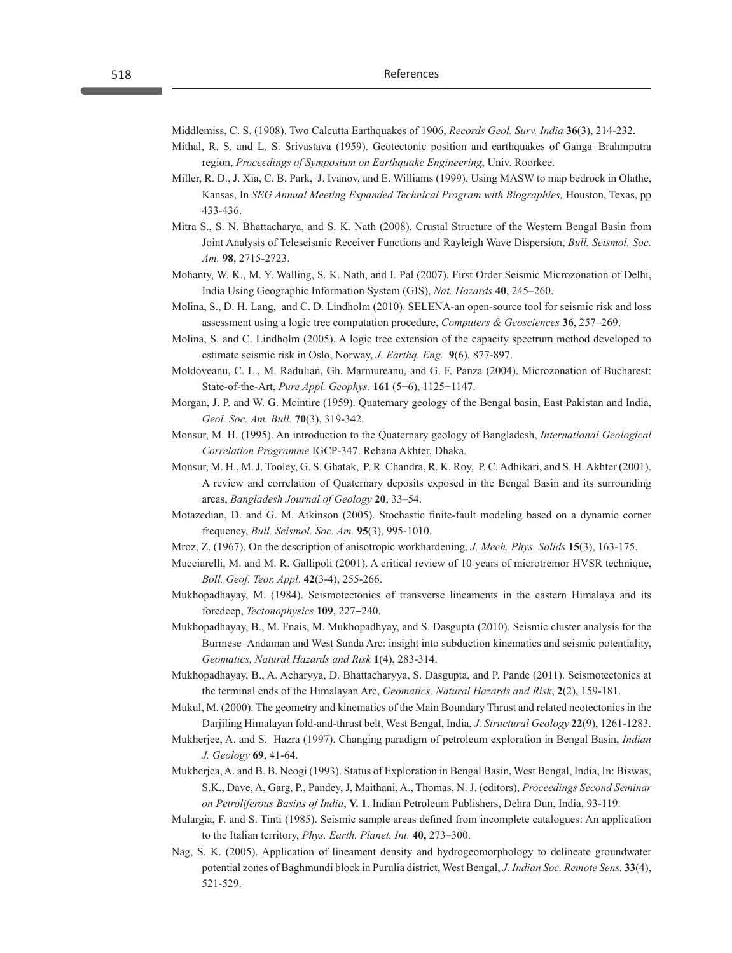Middlemiss, C. S. (1908). Two Calcutta Earthquakes of 1906, *Records Geol. Surv. India* **36**(3), 214-232.

- Mithal, R. S. and L. S. Srivastava (1959). Geotectonic position and earthquakes of Ganga−Brahmputra region, *Proceedings of Symposium on Earthquake Engineering*, Univ. Roorkee.
- Miller, R. D., J. Xia, C. B. Park, J. Ivanov, and E. Williams (1999). Using MASW to map bedrock in Olathe, Kansas, In *SEG Annual Meeting Expanded Technical Program with Biographies,* Houston, Texas, pp 433-436.
- Mitra S., S. N. Bhattacharya, and S. K. Nath (2008). Crustal Structure of the Western Bengal Basin from Joint Analysis of Teleseismic Receiver Functions and Rayleigh Wave Dispersion, *Bull. Seismol. Soc. Am.* **98**, 2715-2723.
- Mohanty, W. K., M. Y. Walling, S. K. Nath, and I. Pal (2007). First Order Seismic Microzonation of Delhi, India Using Geographic Information System (GIS), *Nat. Hazards* **40**, 245–260.
- Molina, S., D. H. Lang, and C. D. Lindholm (2010). SELENA-an open-source tool for seismic risk and loss assessment using a logic tree computation procedure, *Computers & Geosciences* **36**, 257–269.
- Molina, S. and C. Lindholm (2005). A logic tree extension of the capacity spectrum method developed to estimate seismic risk in Oslo, Norway, *J. Earthq. Eng.* **9**(6), 877-897.
- Moldoveanu, C. L., M. Radulian, Gh. Marmureanu, and G. F. Panza (2004). Microzonation of Bucharest: State-of-the-Art, *Pure Appl. Geophys.* **161** (5−6), 1125−1147.
- Morgan, J. P. and W. G. Mcintire (1959). Quaternary geology of the Bengal basin, East Pakistan and India, *Geol. Soc. Am. Bull.* **70**(3), 319-342.
- Monsur, M. H. (1995). An introduction to the Quaternary geology of Bangladesh, *International Geological Correlation Programme* IGCP-347. Rehana Akhter, Dhaka.
- Monsur, M. H., M. J. Tooley, G. S. Ghatak, P. R. Chandra, R. K. Roy, P. C. Adhikari, and S. H. Akhter (2001). A review and correlation of Quaternary deposits exposed in the Bengal Basin and its surrounding areas, *Bangladesh Journal of Geology* **20**, 33–54.
- Motazedian, D. and G. M. Atkinson (2005). Stochastic finite-fault modeling based on a dynamic corner frequency, *Bull. Seismol. Soc. Am.* **95**(3), 995-1010.
- Mroz, Z. (1967). On the description of anisotropic workhardening, *J. Mech. Phys. Solids* **15**(3), 163-175.
- Mucciarelli, M. and M. R. Gallipoli (2001). A critical review of 10 years of microtremor HVSR technique, *Boll. Geof. Teor. Appl*. **42**(3-4), 255-266.
- Mukhopadhayay, M. (1984). Seismotectonics of transverse lineaments in the eastern Himalaya and its foredeep, *Tectonophysics* **109**, 227−240.
- Mukhopadhayay, B., M. Fnais, M. Mukhopadhyay, and S. Dasgupta (2010). Seismic cluster analysis for the Burmese–Andaman and West Sunda Arc: insight into subduction kinematics and seismic potentiality, *Geomatics, Natural Hazards and Risk* **1**(4), 283-314.
- Mukhopadhayay, B., A. Acharyya, D. Bhattacharyya, S. Dasgupta, and P. Pande (2011). Seismotectonics at the terminal ends of the Himalayan Arc, *Geomatics, Natural Hazards and Risk*, **2**(2), 159-181.
- Mukul, M. (2000). The geometry and kinematics of the Main Boundary Thrust and related neotectonics in the Darjiling Himalayan fold-and-thrust belt, West Bengal, India, *J. Structural Geology* **22**(9), 1261-1283.
- Mukherjee, A. and S. Hazra (1997). Changing paradigm of petroleum exploration in Bengal Basin, *Indian J. Geology* **69**, 41-64.
- Mukherjea, A. and B. B. Neogi (1993). Status of Exploration in Bengal Basin, West Bengal, India, In: Biswas, S.K., Dave, A, Garg, P., Pandey, J, Maithani, A., Thomas, N. J. (editors), *Proceedings Second Seminar on Petroliferous Basins of India*, **V. 1**. Indian Petroleum Publishers, Dehra Dun, India, 93-119.
- Mulargia, F. and S. Tinti (1985). Seismic sample areas defined from incomplete catalogues: An application to the Italian territory, *Phys. Earth. Planet. Int.* **40,** 273–300.
- Nag, S. K. (2005). Application of lineament density and hydrogeomorphology to delineate groundwater potential zones of Baghmundi block in Purulia district, West Bengal, *J. Indian Soc. Remote Sens.* **33**(4), 521-529.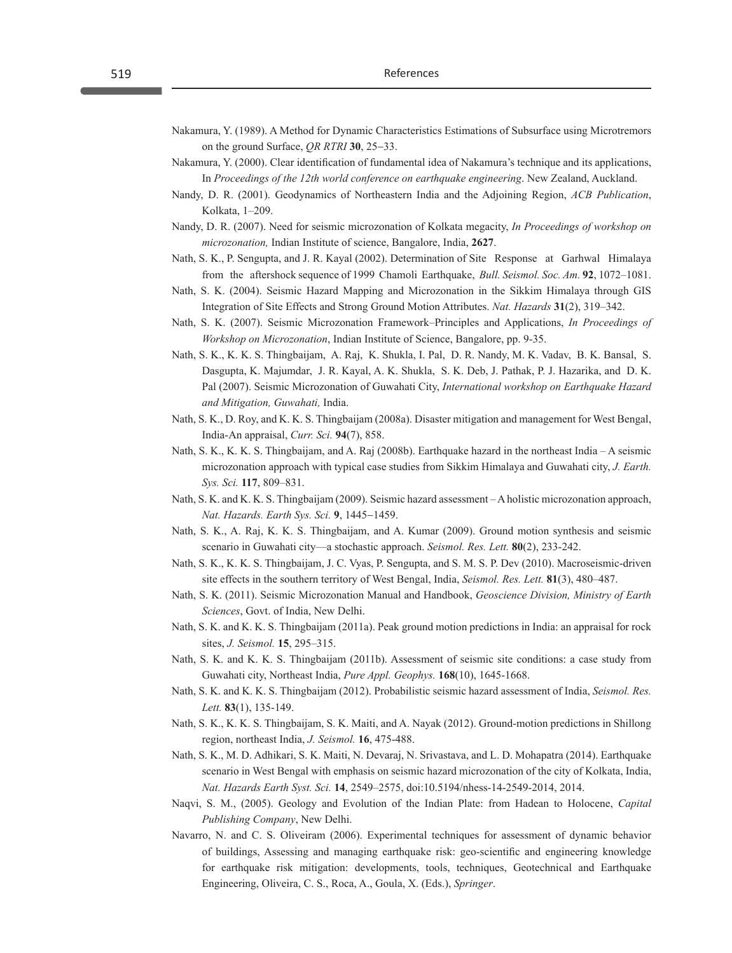- Nakamura, Y. (1989). A Method for Dynamic Characteristics Estimations of Subsurface using Microtremors on the ground Surface, *QR RTRI* **30**, 25−33.
- Nakamura, Y. (2000). Clear identification of fundamental idea of Nakamura's technique and its applications, In *Proceedings of the 12th world conference on earthquake engineering*. New Zealand, Auckland.
- Nandy, D. R. (2001). Geodynamics of Northeastern India and the Adjoining Region, *ACB Publication*, Kolkata, 1–209.
- Nandy, D. R. (2007). Need for seismic microzonation of Kolkata megacity, *In Proceedings of workshop on microzonation,* Indian Institute of science, Bangalore, India, **2627**.
- Nath, S. K., P. Sengupta, and J. R. Kayal (2002). Determination of Site Response at Garhwal Himalaya from the aftershock sequence of 1999 Chamoli Earthquake, *Bull. Seismol. Soc. Am.* **92**, 1072–1081.
- Nath, S. K. (2004). Seismic Hazard Mapping and Microzonation in the Sikkim Himalaya through GIS Integration of Site Effects and Strong Ground Motion Attributes. *Nat. Hazards* **31**(2), 319–342.
- Nath, S. K. (2007). Seismic Microzonation Framework–Principles and Applications, *In Proceedings of Workshop on Microzonation*, Indian Institute of Science, Bangalore, pp. 9-35.
- Nath, S. K., K. K. S. Thingbaijam, A. Raj, K. Shukla, I. Pal, D. R. Nandy, M. K. Vadav, B. K. Bansal, S. Dasgupta, K. Majumdar, J. R. Kayal, A. K. Shukla, S. K. Deb, J. Pathak, P. J. Hazarika, and D. K. Pal (2007). Seismic Microzonation of Guwahati City, *International workshop on Earthquake Hazard and Mitigation, Guwahati,* India.
- Nath, S. K., D. Roy, and K. K. S. Thingbaijam (2008a). Disaster mitigation and management for West Bengal, India-An appraisal, *Curr. Sci.* **94**(7), 858.
- Nath, S. K., K. K. S. Thingbaijam, and A. Raj (2008b). Earthquake hazard in the northeast India A seismic microzonation approach with typical case studies from Sikkim Himalaya and Guwahati city, *J. Earth. Sys. Sci.* **117**, 809–831.
- Nath, S. K. and K. K. S. Thingbaijam (2009). Seismic hazard assessment A holistic microzonation approach, *Nat. Hazards. Earth Sys. Sci.* **9**, 1445−1459.
- Nath, S. K., A. Raj, K. K. S. Thingbaijam, and A. Kumar (2009). Ground motion synthesis and seismic scenario in Guwahati city—a stochastic approach. *Seismol. Res. Lett.* **80**(2), 233-242.
- Nath, S. K., K. K. S. Thingbaijam, J. C. Vyas, P. Sengupta, and S. M. S. P. Dev (2010). Macroseismic-driven site effects in the southern territory of West Bengal, India, *Seismol. Res. Lett.* **81**(3), 480–487.
- Nath, S. K. (2011). Seismic Microzonation Manual and Handbook, *Geoscience Division, Ministry of Earth Sciences*, Govt. of India, New Delhi.
- Nath, S. K. and K. K. S. Thingbaijam (2011a). Peak ground motion predictions in India: an appraisal for rock sites, *J. Seismol.* **15**, 295–315.
- Nath, S. K. and K. K. S. Thingbaijam (2011b). Assessment of seismic site conditions: a case study from Guwahati city, Northeast India, *Pure Appl. Geophys.* **168**(10), 1645-1668.
- Nath, S. K. and K. K. S. Thingbaijam (2012). Probabilistic seismic hazard assessment of India, *Seismol. Res. Lett.* **83**(1), 135-149.
- Nath, S. K., K. K. S. Thingbaijam, S. K. Maiti, and A. Nayak (2012). Ground-motion predictions in Shillong region, northeast India, *J. Seismol.* **16**, 475-488.
- Nath, S. K., M. D. Adhikari, S. K. Maiti, N. Devaraj, N. Srivastava, and L. D. Mohapatra (2014). Earthquake scenario in West Bengal with emphasis on seismic hazard microzonation of the city of Kolkata, India, *Nat. Hazards Earth Syst. Sci.* **14**, 2549–2575, doi:10.5194/nhess-14-2549-2014, 2014.
- Naqvi, S. M., (2005). Geology and Evolution of the Indian Plate: from Hadean to Holocene, *Capital Publishing Company*, New Delhi.
- Navarro, N. and C. S. Oliveiram (2006). Experimental techniques for assessment of dynamic behavior of buildings, Assessing and managing earthquake risk: geo-scientific and engineering knowledge for earthquake risk mitigation: developments, tools, techniques, Geotechnical and Earthquake Engineering, Oliveira, C. S., Roca, A., Goula, X. (Eds.), *Springer*.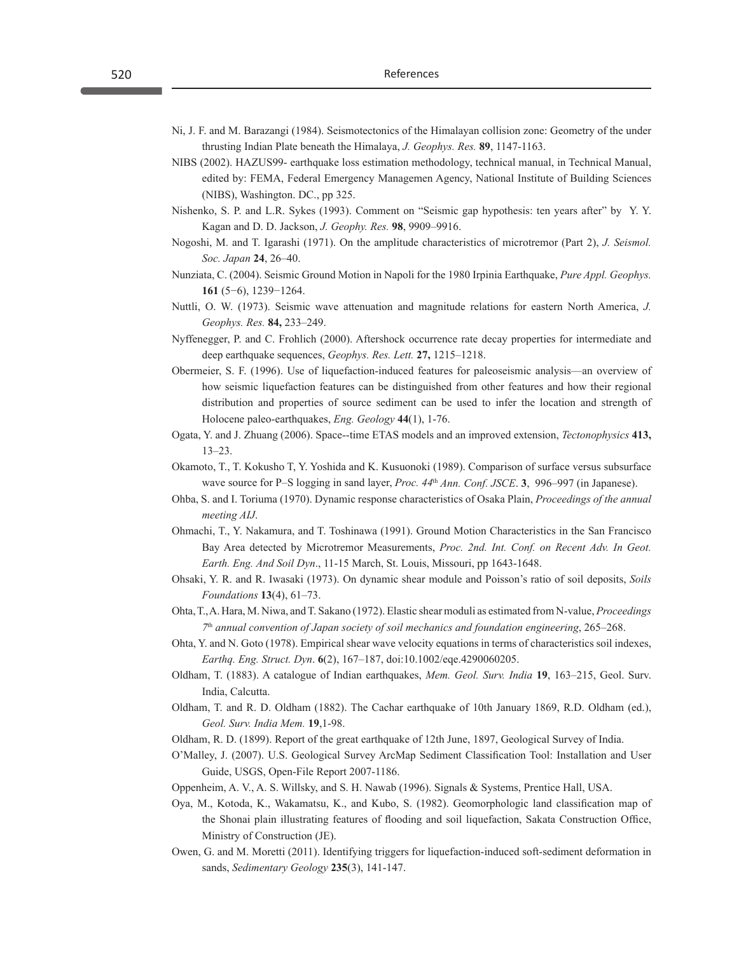- Ni, J. F. and M. Barazangi (1984). Seismotectonics of the Himalayan collision zone: Geometry of the under thrusting Indian Plate beneath the Himalaya, *J. Geophys. Res.* **89**, 1147-1163.
- NIBS (2002). HAZUS99- earthquake loss estimation methodology, technical manual, in Technical Manual, edited by: FEMA, Federal Emergency Managemen Agency, National Institute of Building Sciences (NIBS), Washington. DC., pp 325.
- Nishenko, S. P. and L.R. Sykes (1993). Comment on "Seismic gap hypothesis: ten years after" by Y. Y. Kagan and D. D. Jackson, *J. Geophy. Res.* **98**, 9909–9916.
- Nogoshi, M. and T. Igarashi (1971). On the amplitude characteristics of microtremor (Part 2), *J. Seismol. Soc. Japan* **24**, 26–40.
- Nunziata, C. (2004). Seismic Ground Motion in Napoli for the 1980 Irpinia Earthquake, *Pure Appl. Geophys.*  **161** (5−6), 1239−1264.
- Nuttli, O. W. (1973). Seismic wave attenuation and magnitude relations for eastern North America, *J. Geophys. Res.* **84,** 233–249.
- Nyffenegger, P. and C. Frohlich (2000). Aftershock occurrence rate decay properties for intermediate and deep earthquake sequences, *Geophys. Res. Lett.* **27,** 1215–1218.
- Obermeier, S. F. (1996). Use of liquefaction-induced features for paleoseismic analysis—an overview of how seismic liquefaction features can be distinguished from other features and how their regional distribution and properties of source sediment can be used to infer the location and strength of Holocene paleo-earthquakes, *Eng. Geology* **44**(1), 1-76.
- Ogata, Y. and J. Zhuang (2006). Space--time ETAS models and an improved extension, *Tectonophysics* **413,** 13–23.
- Okamoto, T., T. Kokusho T, Y. Yoshida and K. Kusuonoki (1989). Comparison of surface versus subsurface wave source for P–S logging in sand layer, *Proc. 44*th *Ann. Conf. JSCE*. **3**, 996–997 (in Japanese).
- Ohba, S. and I. Toriuma (1970). Dynamic response characteristics of Osaka Plain, *Proceedings of the annual meeting AIJ*.
- Ohmachi, T., Y. Nakamura, and T. Toshinawa (1991). Ground Motion Characteristics in the San Francisco Bay Area detected by Microtremor Measurements, *Proc. 2nd. Int. Conf. on Recent Adv. In Geot. Earth. Eng. And Soil Dyn*., 11-15 March, St. Louis, Missouri, pp 1643-1648.
- Ohsaki, Y. R. and R. Iwasaki (1973). On dynamic shear module and Poisson's ratio of soil deposits, *Soils Foundations* **13**(4), 61–73.
- Ohta, T., A. Hara, M. Niwa, and T. Sakano (1972). Elastic shear moduli as estimated from N-value, *Proceedings 7*th *annual convention of Japan society of soil mechanics and foundation engineering*, 265–268.
- Ohta, Y. and N. Goto (1978). Empirical shear wave velocity equations in terms of characteristics soil indexes, *Earthq. Eng. Struct. Dyn*. **6**(2), 167–187, doi:10.1002/eqe.4290060205.
- Oldham, T. (1883). A catalogue of Indian earthquakes, *Mem. Geol. Surv. India* **19**, 163–215, Geol. Surv. India, Calcutta.
- Oldham, T. and R. D. Oldham (1882). The Cachar earthquake of 10th January 1869, R.D. Oldham (ed.), *Geol. Surv. India Mem.* **19**,1-98.
- Oldham, R. D. (1899). Report of the great earthquake of 12th June, 1897, Geological Survey of India.
- O'Malley, J. (2007). U.S. Geological Survey ArcMap Sediment Classification Tool: Installation and User Guide, USGS, Open-File Report 2007-1186.
- Oppenheim, A. V., A. S. Willsky, and S. H. Nawab (1996). Signals & Systems, Prentice Hall, USA.
- Oya, M., Kotoda, K., Wakamatsu, K., and Kubo, S. (1982). Geomorphologic land classification map of the Shonai plain illustrating features of flooding and soil liquefaction, Sakata Construction Office, Ministry of Construction (JE).
- Owen, G. and M. Moretti (2011). Identifying triggers for liquefaction-induced soft-sediment deformation in sands, *Sedimentary Geology* **235**(3), 141-147.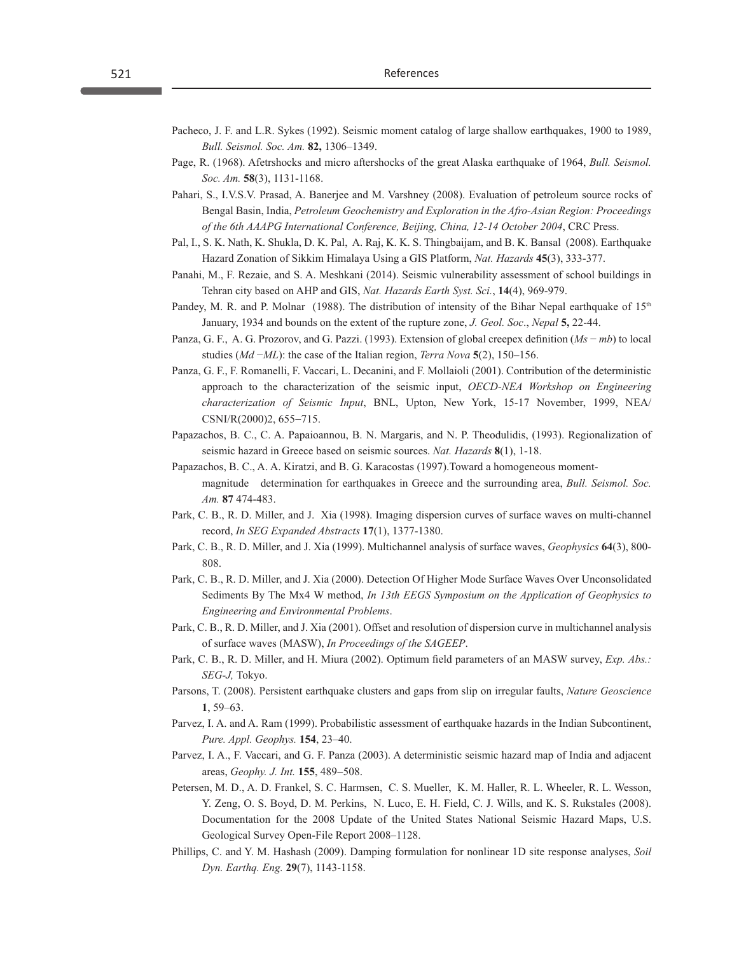- Pacheco, J. F. and L.R. Sykes (1992). Seismic moment catalog of large shallow earthquakes, 1900 to 1989, *Bull. Seismol. Soc. Am.* **82,** 1306–1349.
- Page, R. (1968). Afetrshocks and micro aftershocks of the great Alaska earthquake of 1964, *Bull. Seismol. Soc. Am.* **58**(3), 1131-1168.
- Pahari, S., I.V.S.V. Prasad, A. Banerjee and M. Varshney (2008). Evaluation of petroleum source rocks of Bengal Basin, India, *Petroleum Geochemistry and Exploration in the Afro-Asian Region: Proceedings of the 6th AAAPG International Conference, Beijing, China, 12-14 October 2004*, CRC Press.
- Pal, I., S. K. Nath, K. Shukla, D. K. Pal, A. Raj, K. K. S. Thingbaijam, and B. K. Bansal (2008). Earthquake Hazard Zonation of Sikkim Himalaya Using a GIS Platform, *Nat. Hazards* **45**(3), 333-377.
- Panahi, M., F. Rezaie, and S. A. Meshkani (2014). Seismic vulnerability assessment of school buildings in Tehran city based on AHP and GIS, *Nat. Hazards Earth Syst. Sci.*, **14**(4), 969-979.
- Pandey, M. R. and P. Molnar (1988). The distribution of intensity of the Bihar Nepal earthquake of  $15<sup>th</sup>$ January, 1934 and bounds on the extent of the rupture zone, *J. Geol. Soc*., *Nepal* **5,** 22-44.
- Panza, G. F., A. G. Prozorov, and G. Pazzi. (1993). Extension of global creepex definition (*Ms* − *mb*) to local studies (*Md* −*ML*): the case of the Italian region, *Terra Nova* **5**(2), 150–156.
- Panza, G. F., F. Romanelli, F. Vaccari, L. Decanini, and F. Mollaioli (2001). Contribution of the deterministic approach to the characterization of the seismic input, *OECD-NEA Workshop on Engineering characterization of Seismic Input*, BNL, Upton, New York, 15-17 November, 1999, NEA/ CSNI/R(2000)2, 655−715.
- Papazachos, B. C., C. A. Papaioannou, B. N. Margaris, and N. P. Theodulidis, (1993). Regionalization of seismic hazard in Greece based on seismic sources. *Nat. Hazards* **8**(1), 1-18.
- Papazachos, B. C., A. A. Kiratzi, and B. G. Karacostas (1997).Toward a homogeneous momentmagnitude determination for earthquakes in Greece and the surrounding area, *Bull. Seismol. Soc. Am.* **87** 474-483.
- Park, C. B., R. D. Miller, and J. Xia (1998). Imaging dispersion curves of surface waves on multi-channel record, *In SEG Expanded Abstracts* **17**(1), 1377-1380.
- Park, C. B., R. D. Miller, and J. Xia (1999). Multichannel analysis of surface waves, *Geophysics* **64**(3), 800- 808.
- Park, C. B., R. D. Miller, and J. Xia (2000). Detection Of Higher Mode Surface Waves Over Unconsolidated Sediments By The Mx4 W method, *In 13th EEGS Symposium on the Application of Geophysics to Engineering and Environmental Problems*.
- Park, C. B., R. D. Miller, and J. Xia (2001). Offset and resolution of dispersion curve in multichannel analysis of surface waves (MASW), *In Proceedings of the SAGEEP*.
- Park, C. B., R. D. Miller, and H. Miura (2002). Optimum field parameters of an MASW survey, *Exp. Abs.: SEG-J,* Tokyo.
- Parsons, T. (2008). Persistent earthquake clusters and gaps from slip on irregular faults, *Nature Geoscience* **1**, 59–63.
- Parvez, I. A. and A. Ram (1999). Probabilistic assessment of earthquake hazards in the Indian Subcontinent, *Pure. Appl. Geophys.* **154**, 23–40.
- Parvez, I. A., F. Vaccari, and G. F. Panza (2003). A deterministic seismic hazard map of India and adjacent areas, *Geophy. J. Int.* **155**, 489−508.
- Petersen, M. D., A. D. Frankel, S. C. Harmsen, C. S. Mueller, K. M. Haller, R. L. Wheeler, R. L. Wesson, Y. Zeng, O. S. Boyd, D. M. Perkins, N. Luco, E. H. Field, C. J. Wills, and K. S. Rukstales (2008). Documentation for the 2008 Update of the United States National Seismic Hazard Maps, U.S. Geological Survey Open-File Report 2008–1128.
- Phillips, C. and Y. M. Hashash (2009). Damping formulation for nonlinear 1D site response analyses, *Soil Dyn. Earthq. Eng.* **29**(7), 1143-1158.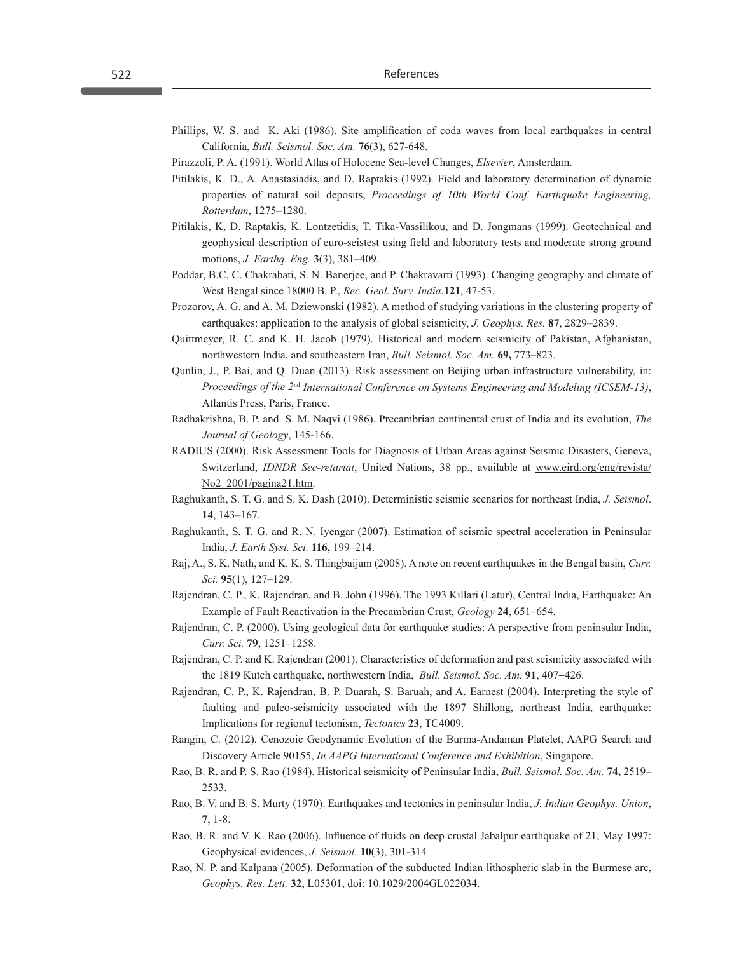- Phillips, W. S. and K. Aki (1986). Site amplification of coda waves from local earthquakes in central California, *Bull. Seismol. Soc. Am.* **76**(3), 627-648.
- Pirazzoli, P. A. (1991). World Atlas of Holocene Sea-level Changes, *Elsevier*, Amsterdam.
- Pitilakis, K. D., A. Anastasiadis, and D. Raptakis (1992). Field and laboratory determination of dynamic properties of natural soil deposits, *Proceedings of 10th World Conf. Earthquake Engineering, Rotterdam*, 1275–1280.
- Pitilakis, K, D. Raptakis, K. Lontzetidis, T. Tika-Vassilikou, and D. Jongmans (1999). Geotechnical and geophysical description of euro-seistest using field and laboratory tests and moderate strong ground motions, *J. Earthq. Eng.* **3**(3), 381–409.
- Poddar, B.C, C. Chakrabati, S. N. Banerjee, and P. Chakravarti (1993). Changing geography and climate of West Bengal since 18000 B. P., *Rec. Geol. Surv. India*.**121**, 47-53.
- Prozorov, A. G. and A. M. Dziewonski (1982). A method of studying variations in the clustering property of earthquakes: application to the analysis of global seismicity, *J. Geophys. Res.* **87**, 2829–2839.
- Quittmeyer, R. C. and K. H. Jacob (1979). Historical and modern seismicity of Pakistan, Afghanistan, northwestern India, and southeastern Iran, *Bull. Seismol. Soc. Am.* **69,** 773–823.
- Qunlin, J., P. Bai, and Q. Duan (2013). Risk assessment on Beijing urban infrastructure vulnerability, in: *Proceedings of the 2*nd *International Conference on Systems Engineering and Modeling (ICSEM-13)*, Atlantis Press, Paris, France.
- Radhakrishna, B. P. and S. M. Naqvi (1986). Precambrian continental crust of India and its evolution, *The Journal of Geology*, 145-166.
- RADIUS (2000). Risk Assessment Tools for Diagnosis of Urban Areas against Seismic Disasters, Geneva, Switzerland, *IDNDR Sec-retariat*, United Nations, 38 pp., available at www.eird.org/eng/revista/ No2 2001/pagina21.htm.
- Raghukanth, S. T. G. and S. K. Dash (2010). Deterministic seismic scenarios for northeast India, *J. Seismol*. **14**, 143–167.
- Raghukanth, S. T. G. and R. N. Iyengar (2007). Estimation of seismic spectral acceleration in Peninsular India, *J. Earth Syst. Sci.* **116,** 199–214.
- Raj, A., S. K. Nath, and K. K. S. Thingbaijam (2008). A note on recent earthquakes in the Bengal basin, *Curr. Sci.* **95**(1), 127–129.
- Rajendran, C. P., K. Rajendran, and B. John (1996). The 1993 Killari (Latur), Central India, Earthquake: An Example of Fault Reactivation in the Precambrian Crust, *Geology* **24**, 651–654.
- Rajendran, C. P. (2000). Using geological data for earthquake studies: A perspective from peninsular India, *Curr. Sci.* **79**, 1251–1258.
- Rajendran, C. P. and K. Rajendran (2001). Characteristics of deformation and past seismicity associated with the 1819 Kutch earthquake, northwestern India, *Bull. Seismol. Soc. Am.* **91**, 407−426.
- Rajendran, C. P., K. Rajendran, B. P. Duarah, S. Baruah, and A. Earnest (2004). Interpreting the style of faulting and paleo-seismicity associated with the 1897 Shillong, northeast India, earthquake: Implications for regional tectonism, *Tectonics* **23**, TC4009.
- Rangin, C. (2012). Cenozoic Geodynamic Evolution of the Burma-Andaman Platelet, AAPG Search and Discovery Article 90155, *In AAPG International Conference and Exhibition*, Singapore.
- Rao, B. R. and P. S. Rao (1984). Historical seismicity of Peninsular India, *Bull. Seismol. Soc. Am.* **74,** 2519– 2533.
- Rao, B. V. and B. S. Murty (1970). Earthquakes and tectonics in peninsular India, *J. Indian Geophys. Union*, **7**, 1-8.
- Rao, B. R. and V. K. Rao (2006). Influence of fluids on deep crustal Jabalpur earthquake of 21, May 1997: Geophysical evidences, *J. Seismol.* **10**(3), 301-314
- Rao, N. P. and Kalpana (2005). Deformation of the subducted Indian lithospheric slab in the Burmese arc, *Geophys. Res. Lett.* **32**, L05301, doi: 10.1029/2004GL022034.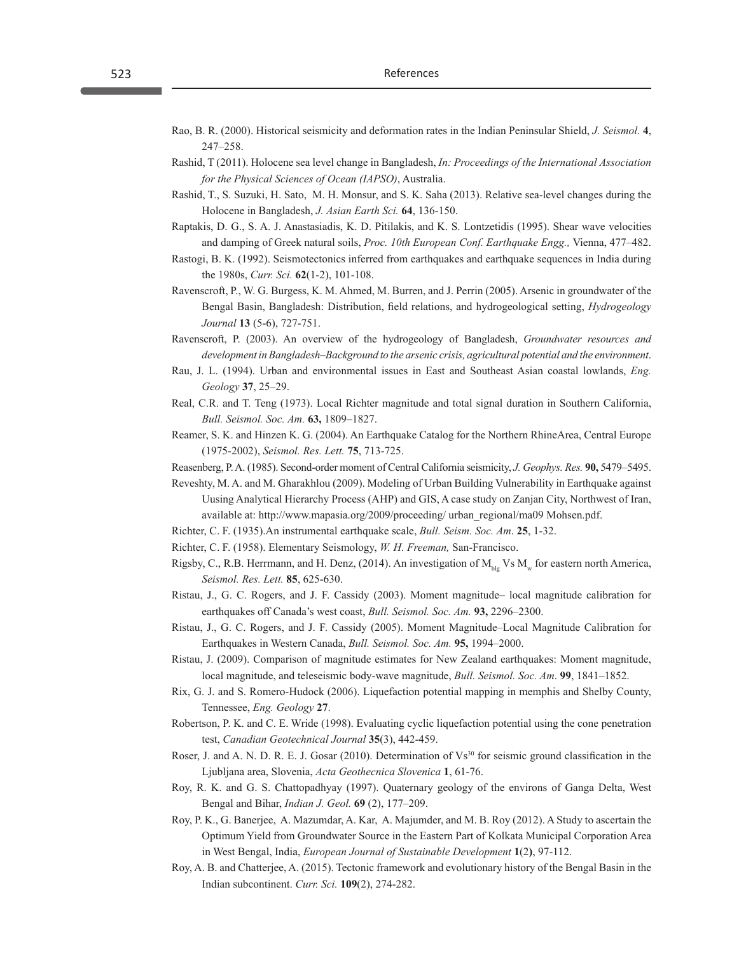- Rao, B. R. (2000). Historical seismicity and deformation rates in the Indian Peninsular Shield, *J. Seismol.* **4**, 247–258.
- Rashid, T (2011). Holocene sea level change in Bangladesh, *In: Proceedings of the International Association for the Physical Sciences of Ocean (IAPSO)*, Australia.
- Rashid, T., S. Suzuki, H. Sato, M. H. Monsur, and S. K. Saha (2013). Relative sea-level changes during the Holocene in Bangladesh, *J. Asian Earth Sci.* **64**, 136-150.
- Raptakis, D. G., S. A. J. Anastasiadis, K. D. Pitilakis, and K. S. Lontzetidis (1995). Shear wave velocities and damping of Greek natural soils, *Proc. 10th European Conf. Earthquake Engg.,* Vienna, 477–482.
- Rastogi, B. K. (1992). Seismotectonics inferred from earthquakes and earthquake sequences in India during the 1980s, *Curr. Sci.* **62**(1-2), 101-108.
- Ravenscroft, P., W. G. Burgess, K. M. Ahmed, M. Burren, and J. Perrin (2005). Arsenic in groundwater of the Bengal Basin, Bangladesh: Distribution, field relations, and hydrogeological setting, *Hydrogeology Journal* **13** (5-6), 727-751.
- Ravenscroft, P. (2003). An overview of the hydrogeology of Bangladesh, *Groundwater resources and development in Bangladesh–Background to the arsenic crisis, agricultural potential and the environment*.
- Rau, J. L. (1994). Urban and environmental issues in East and Southeast Asian coastal lowlands, *Eng. Geology* **37**, 25–29.
- Real, C.R. and T. Teng (1973). Local Richter magnitude and total signal duration in Southern California, *Bull. Seismol. Soc. Am.* **63,** 1809–1827.
- Reamer, S. K. and Hinzen K. G. (2004). An Earthquake Catalog for the Northern RhineArea, Central Europe (1975-2002), *Seismol. Res. Lett.* **75**, 713-725.
- Reasenberg, P. A. (1985). Second-order moment of Central California seismicity, *J. Geophys. Res.* **90,** 5479–5495.
- Reveshty, M. A. and M. Gharakhlou (2009). Modeling of Urban Building Vulnerability in Earthquake against Uusing Analytical Hierarchy Process (AHP) and GIS, A case study on Zanjan City, Northwest of Iran, available at: http://www.mapasia.org/2009/proceeding/ urban\_regional/ma09 Mohsen.pdf.
- Richter, C. F. (1935).An instrumental earthquake scale, *Bull. Seism. Soc. Am*. **25**, 1-32.
- Richter, C. F. (1958). Elementary Seismology, *W. H. Freeman,* San-Francisco.
- Rigsby, C., R.B. Herrmann, and H. Denz, (2014). An investigation of  $M_{\text{blue}}$  Vs  $M_{\text{w}}$  for eastern north America, *Seismol. Res. Lett.* **85**, 625-630.
- Ristau, J., G. C. Rogers, and J. F. Cassidy (2003). Moment magnitude– local magnitude calibration for earthquakes off Canada's west coast, *Bull. Seismol. Soc. Am.* **93,** 2296–2300.
- Ristau, J., G. C. Rogers, and J. F. Cassidy (2005). Moment Magnitude–Local Magnitude Calibration for Earthquakes in Western Canada, *Bull. Seismol. Soc. Am.* **95,** 1994–2000.
- Ristau, J. (2009). Comparison of magnitude estimates for New Zealand earthquakes: Moment magnitude, local magnitude, and teleseismic body-wave magnitude, *Bull. Seismol. Soc. Am*. **99**, 1841–1852.
- Rix, G. J. and S. Romero-Hudock (2006). Liquefaction potential mapping in memphis and Shelby County, Tennessee, *Eng. Geology* **27**.
- Robertson, P. K. and C. E. Wride (1998). Evaluating cyclic liquefaction potential using the cone penetration test, *Canadian Geotechnical Journal* **35**(3), 442-459.
- Roser, J. and A. N. D. R. E. J. Gosar (2010). Determination of Vs<sup>30</sup> for seismic ground classification in the Ljubljana area, Slovenia, *Acta Geothecnica Slovenica* **1**, 61-76.
- Roy, R. K. and G. S. Chattopadhyay (1997). Quaternary geology of the environs of Ganga Delta, West Bengal and Bihar, *Indian J. Geol.* **69** (2), 177–209.
- Roy, P. K., G. Banerjee, A. Mazumdar, A. Kar, A. Majumder, and M. B. Roy (2012). A Study to ascertain the Optimum Yield from Groundwater Source in the Eastern Part of Kolkata Municipal Corporation Area in West Bengal, India, *European Journal of Sustainable Development* **1**(2**)**, 97-112.
- Roy, A. B. and Chatterjee, A. (2015). Tectonic framework and evolutionary history of the Bengal Basin in the Indian subcontinent. *Curr. Sci.* **109**(2), 274-282.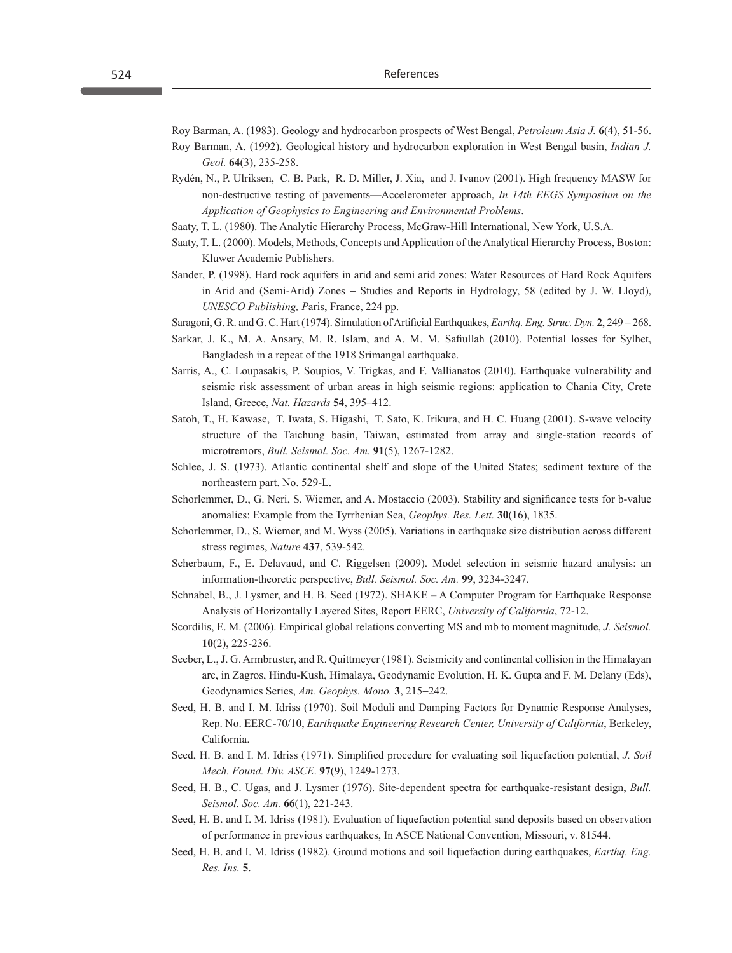Roy Barman, A. (1983). Geology and hydrocarbon prospects of West Bengal, *Petroleum Asia J.* **6**(4), 51-56. Roy Barman, A. (1992). Geological history and hydrocarbon exploration in West Bengal basin, *Indian J. Geol.* **64**(3), 235-258.

- Rydén, N., P. Ulriksen, C. B. Park, R. D. Miller, J. Xia, and J. Ivanov (2001). High frequency MASW for non-destructive testing of pavements—Accelerometer approach, *In 14th EEGS Symposium on the Application of Geophysics to Engineering and Environmental Problems*.
- Saaty, T. L. (1980). The Analytic Hierarchy Process, McGraw-Hill International, New York, U.S.A.
- Saaty, T. L. (2000). Models, Methods, Concepts and Application of the Analytical Hierarchy Process, Boston: Kluwer Academic Publishers.
- Sander, P. (1998). Hard rock aquifers in arid and semi arid zones: Water Resources of Hard Rock Aquifers in Arid and (Semi-Arid) Zones − Studies and Reports in Hydrology, 58 (edited by J. W. Lloyd), *UNESCO Publishing, P*aris, France, 224 pp.
- Saragoni, G. R. and G. C. Hart (1974). Simulation of Artificial Earthquakes, *Earthq. Eng. Struc. Dyn.* **2**, 249 268.
- Sarkar, J. K., M. A. Ansary, M. R. Islam, and A. M. M. Safiullah (2010). Potential losses for Sylhet, Bangladesh in a repeat of the 1918 Srimangal earthquake.
- Sarris, A., C. Loupasakis, P. Soupios, V. Trigkas, and F. Vallianatos (2010). Earthquake vulnerability and seismic risk assessment of urban areas in high seismic regions: application to Chania City, Crete Island, Greece, *Nat. Hazards* **54**, 395–412.
- Satoh, T., H. Kawase, T. Iwata, S. Higashi, T. Sato, K. Irikura, and H. C. Huang (2001). S-wave velocity structure of the Taichung basin, Taiwan, estimated from array and single-station records of microtremors, *Bull. Seismol. Soc. Am.* **91**(5), 1267-1282.
- Schlee, J. S. (1973). Atlantic continental shelf and slope of the United States; sediment texture of the northeastern part. No. 529-L.
- Schorlemmer, D., G. Neri, S. Wiemer, and A. Mostaccio (2003). Stability and significance tests for b-value anomalies: Example from the Tyrrhenian Sea, *Geophys. Res. Lett.* **30**(16), 1835.
- Schorlemmer, D., S. Wiemer, and M. Wyss (2005). Variations in earthquake size distribution across different stress regimes, *Nature* **437**, 539-542.
- Scherbaum, F., E. Delavaud, and C. Riggelsen (2009). Model selection in seismic hazard analysis: an information-theoretic perspective, *Bull. Seismol. Soc. Am.* **99**, 3234-3247.
- Schnabel, B., J. Lysmer, and H. B. Seed (1972). SHAKE A Computer Program for Earthquake Response Analysis of Horizontally Layered Sites, Report EERC, *University of California*, 72-12.
- Scordilis, E. M. (2006). Empirical global relations converting MS and mb to moment magnitude, *J. Seismol.* **10**(2), 225-236.
- Seeber, L., J. G. Armbruster, and R. Quittmeyer (1981). Seismicity and continental collision in the Himalayan arc, in Zagros, Hindu-Kush, Himalaya, Geodynamic Evolution, H. K. Gupta and F. M. Delany (Eds), Geodynamics Series, *Am. Geophys. Mono.* **3**, 215−242.
- Seed, H. B. and I. M. Idriss (1970). Soil Moduli and Damping Factors for Dynamic Response Analyses, Rep. No. EERC-70/10, *Earthquake Engineering Research Center, University of California*, Berkeley, California.
- Seed, H. B. and I. M. Idriss (1971). Simplified procedure for evaluating soil liquefaction potential, *J. Soil Mech. Found. Div. ASCE*. **97**(9), 1249-1273.
- Seed, H. B., C. Ugas, and J. Lysmer (1976). Site-dependent spectra for earthquake-resistant design, *Bull. Seismol. Soc. Am.* **66**(1), 221-243.
- Seed, H. B. and I. M. Idriss (1981). Evaluation of liquefaction potential sand deposits based on observation of performance in previous earthquakes, In ASCE National Convention, Missouri, v. 81544.
- Seed, H. B. and I. M. Idriss (1982). Ground motions and soil liquefaction during earthquakes, *Earthq. Eng. Res. Ins.* **5**.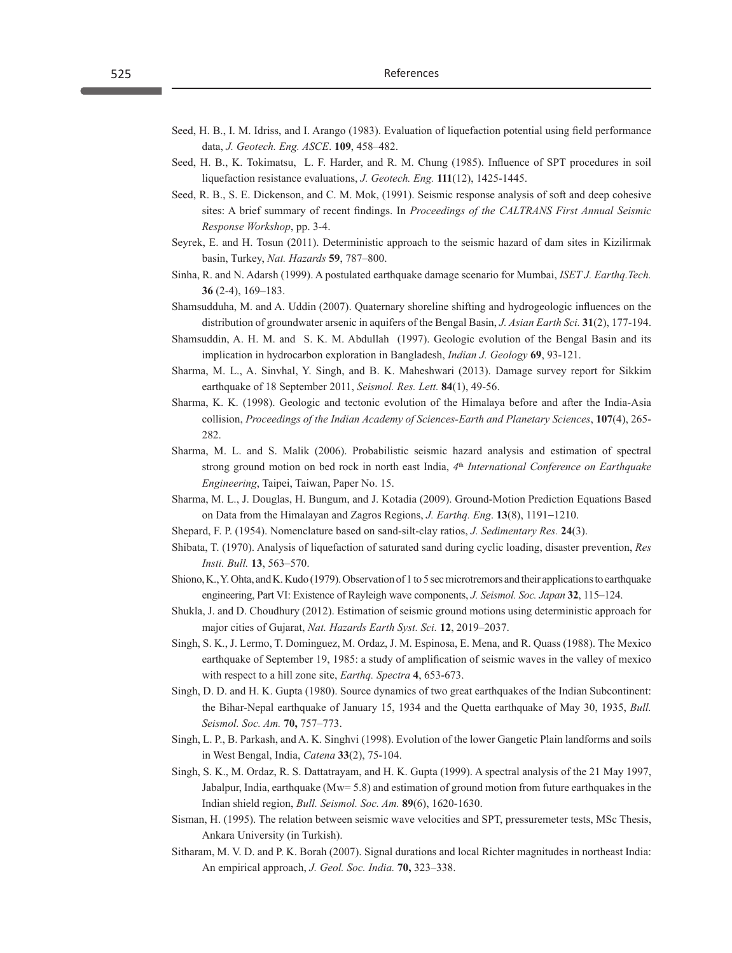- Seed, H. B., I. M. Idriss, and I. Arango (1983). Evaluation of liquefaction potential using field performance data, *J. Geotech. Eng. ASCE*. **109**, 458–482.
- Seed, H. B., K. Tokimatsu, L. F. Harder, and R. M. Chung (1985). Influence of SPT procedures in soil liquefaction resistance evaluations, *J. Geotech. Eng.* **111**(12), 1425-1445.
- Seed, R. B., S. E. Dickenson, and C. M. Mok, (1991). Seismic response analysis of soft and deep cohesive sites: A brief summary of recent findings. In *Proceedings of the CALTRANS First Annual Seismic Response Workshop*, pp. 3-4.
- Seyrek, E. and H. Tosun (2011). Deterministic approach to the seismic hazard of dam sites in Kizilirmak basin, Turkey, *Nat. Hazards* **59**, 787–800.
- Sinha, R. and N. Adarsh (1999). A postulated earthquake damage scenario for Mumbai, *ISET J. Earthq.Tech.* **36** (2-4), 169–183.
- Shamsudduha, M. and A. Uddin (2007). Quaternary shoreline shifting and hydrogeologic influences on the distribution of groundwater arsenic in aquifers of the Bengal Basin, *J. Asian Earth Sci.* **31**(2), 177-194.
- Shamsuddin, A. H. M. and S. K. M. Abdullah (1997). Geologic evolution of the Bengal Basin and its implication in hydrocarbon exploration in Bangladesh, *Indian J. Geology* **69**, 93-121.
- Sharma, M. L., A. Sinvhal, Y. Singh, and B. K. Maheshwari (2013). Damage survey report for Sikkim earthquake of 18 September 2011, *Seismol. Res. Lett.* **84**(1), 49-56.
- Sharma, K. K. (1998). Geologic and tectonic evolution of the Himalaya before and after the India-Asia collision, *Proceedings of the Indian Academy of Sciences-Earth and Planetary Sciences*, **107**(4), 265- 282.
- Sharma, M. L. and S. Malik (2006). Probabilistic seismic hazard analysis and estimation of spectral strong ground motion on bed rock in north east India, *4*th *International Conference on Earthquake Engineering*, Taipei, Taiwan, Paper No. 15.
- Sharma, M. L., J. Douglas, H. Bungum, and J. Kotadia (2009). Ground-Motion Prediction Equations Based on Data from the Himalayan and Zagros Regions, *J. Earthq. Eng*. **13**(8), 1191−1210.
- Shepard, F. P. (1954). Nomenclature based on sand-silt-clay ratios, *J. Sedimentary Res.* **24**(3).
- Shibata, T. (1970). Analysis of liquefaction of saturated sand during cyclic loading, disaster prevention, *Res Insti. Bull.* **13**, 563–570.
- Shiono, K., Y. Ohta, and K. Kudo (1979). Observation of 1 to 5 sec microtremors and their applications to earthquake engineering, Part VI: Existence of Rayleigh wave components, *J. Seismol. Soc. Japan* **32**, 115–124.
- Shukla, J. and D. Choudhury (2012). Estimation of seismic ground motions using deterministic approach for major cities of Gujarat, *Nat. Hazards Earth Syst. Sci.* **12**, 2019–2037.
- Singh, S. K., J. Lermo, T. Dominguez, M. Ordaz, J. M. Espinosa, E. Mena, and R. Quass (1988). The Mexico earthquake of September 19, 1985: a study of amplification of seismic waves in the valley of mexico with respect to a hill zone site, *Earthq. Spectra* **4**, 653-673.
- Singh, D. D. and H. K. Gupta (1980). Source dynamics of two great earthquakes of the Indian Subcontinent: the Bihar-Nepal earthquake of January 15, 1934 and the Quetta earthquake of May 30, 1935, *Bull. Seismol. Soc. Am.* **70,** 757–773.
- Singh, L. P., B. Parkash, and A. K. Singhvi (1998). Evolution of the lower Gangetic Plain landforms and soils in West Bengal, India, *Catena* **33**(2), 75-104.
- Singh, S. K., M. Ordaz, R. S. Dattatrayam, and H. K. Gupta (1999). A spectral analysis of the 21 May 1997, Jabalpur, India, earthquake (Mw= 5.8) and estimation of ground motion from future earthquakes in the Indian shield region, *Bull. Seismol. Soc. Am.* **89**(6), 1620-1630.
- Sisman, H. (1995). The relation between seismic wave velocities and SPT, pressuremeter tests, MSc Thesis, Ankara University (in Turkish).
- Sitharam, M. V. D. and P. K. Borah (2007). Signal durations and local Richter magnitudes in northeast India: An empirical approach, *J. Geol. Soc. India.* **70,** 323–338.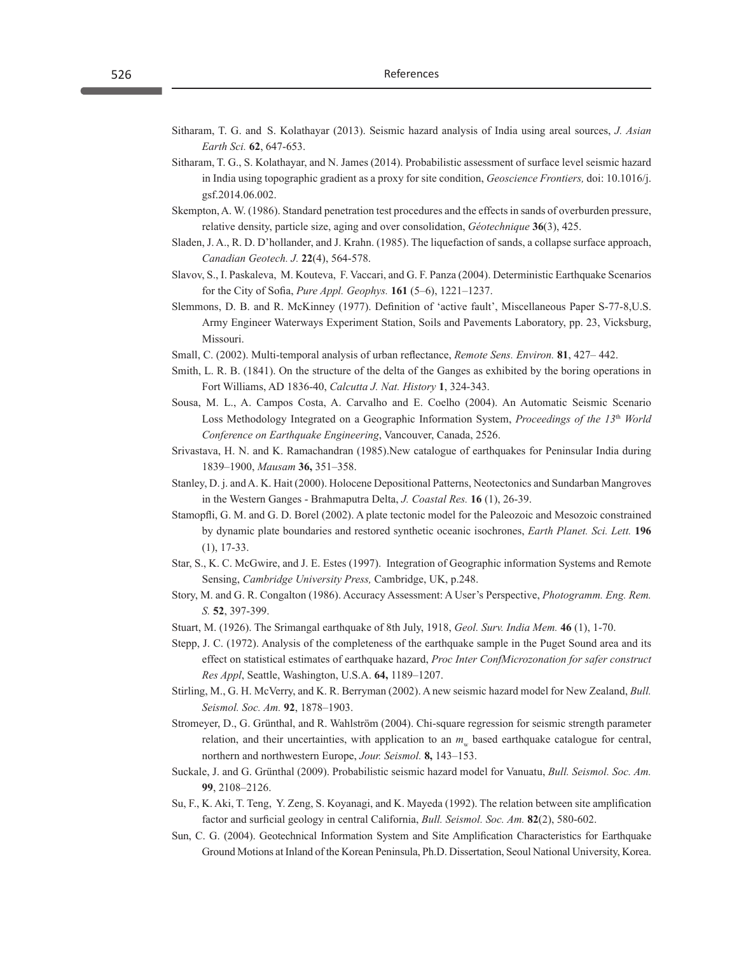- Sitharam, T. G. and S. Kolathayar (2013). Seismic hazard analysis of India using areal sources, *J. Asian Earth Sci.* **62**, 647-653.
- Sitharam, T. G., S. Kolathayar, and N. James (2014). Probabilistic assessment of surface level seismic hazard in India using topographic gradient as a proxy for site condition, *Geoscience Frontiers,* doi: 10.1016/j. gsf.2014.06.002.
- Skempton, A. W. (1986). Standard penetration test procedures and the effects in sands of overburden pressure, relative density, particle size, aging and over consolidation, *Géotechnique* **36**(3), 425.
- Sladen, J. A., R. D. D'hollander, and J. Krahn. (1985). The liquefaction of sands, a collapse surface approach, *Canadian Geotech. J.* **22**(4), 564-578.
- Slavov, S., I. Paskaleva, M. Kouteva, F. Vaccari, and G. F. Panza (2004). Deterministic Earthquake Scenarios for the City of Sofia, *Pure Appl. Geophys.* **161** (5–6), 1221–1237.
- Slemmons, D. B. and R. McKinney (1977). Definition of 'active fault', Miscellaneous Paper S-77-8,U.S. Army Engineer Waterways Experiment Station, Soils and Pavements Laboratory, pp. 23, Vicksburg, Missouri.
- Small, C. (2002). Multi-temporal analysis of urban reflectance, *Remote Sens. Environ.* **81**, 427– 442.
- Smith, L. R. B. (1841). On the structure of the delta of the Ganges as exhibited by the boring operations in Fort Williams, AD 1836-40, *Calcutta J. Nat. History* **1**, 324-343.
- Sousa, M. L., A. Campos Costa, A. Carvalho and E. Coelho (2004). An Automatic Seismic Scenario Loss Methodology Integrated on a Geographic Information System, *Proceedings of the 13*th *World Conference on Earthquake Engineering*, Vancouver, Canada, 2526.
- Srivastava, H. N. and K. Ramachandran (1985).New catalogue of earthquakes for Peninsular India during 1839–1900, *Mausam* **36,** 351–358.
- Stanley, D. j. and A. K. Hait (2000). Holocene Depositional Patterns, Neotectonics and Sundarban Mangroves in the Western Ganges - Brahmaputra Delta, *J. Coastal Res.* **16** (1), 26-39.
- Stamopfli, G. M. and G. D. Borel (2002). A plate tectonic model for the Paleozoic and Mesozoic constrained by dynamic plate boundaries and restored synthetic oceanic isochrones, *Earth Planet. Sci. Lett.* **196** (1), 17-33.
- Star, S., K. C. McGwire, and J. E. Estes (1997). Integration of Geographic information Systems and Remote Sensing, *Cambridge University Press,* Cambridge, UK, p.248.
- Story, M. and G. R. Congalton (1986). Accuracy Assessment: A User's Perspective, *Photogramm. Eng. Rem. S.* **52**, 397-399.
- Stuart, M. (1926). The Srimangal earthquake of 8th July, 1918, *Geol. Surv. India Mem.* **46** (1), 1-70.
- Stepp, J. C. (1972). Analysis of the completeness of the earthquake sample in the Puget Sound area and its effect on statistical estimates of earthquake hazard, *Proc Inter ConfMicrozonation for safer construct Res Appl*, Seattle, Washington, U.S.A. **64,** 1189–1207.
- Stirling, M., G. H. McVerry, and K. R. Berryman (2002). A new seismic hazard model for New Zealand, *Bull. Seismol. Soc. Am.* **92**, 1878–1903.
- Stromeyer, D., G. Grünthal, and R. Wahlström (2004). Chi-square regression for seismic strength parameter relation, and their uncertainties, with application to an  $m<sub>n</sub>$  based earthquake catalogue for central, northern and northwestern Europe, *Jour. Seismol.* **8,** 143–153.
- Suckale, J. and G. Grünthal (2009). Probabilistic seismic hazard model for Vanuatu, *Bull. Seismol. Soc. Am.* **99**, 2108–2126.
- Su, F., K. Aki, T. Teng, Y. Zeng, S. Koyanagi, and K. Mayeda (1992). The relation between site amplification factor and surficial geology in central California, *Bull. Seismol. Soc. Am.* **82**(2), 580-602.
- Sun, C. G. (2004). Geotechnical Information System and Site Amplification Characteristics for Earthquake Ground Motions at Inland of the Korean Peninsula, Ph.D. Dissertation, Seoul National University, Korea.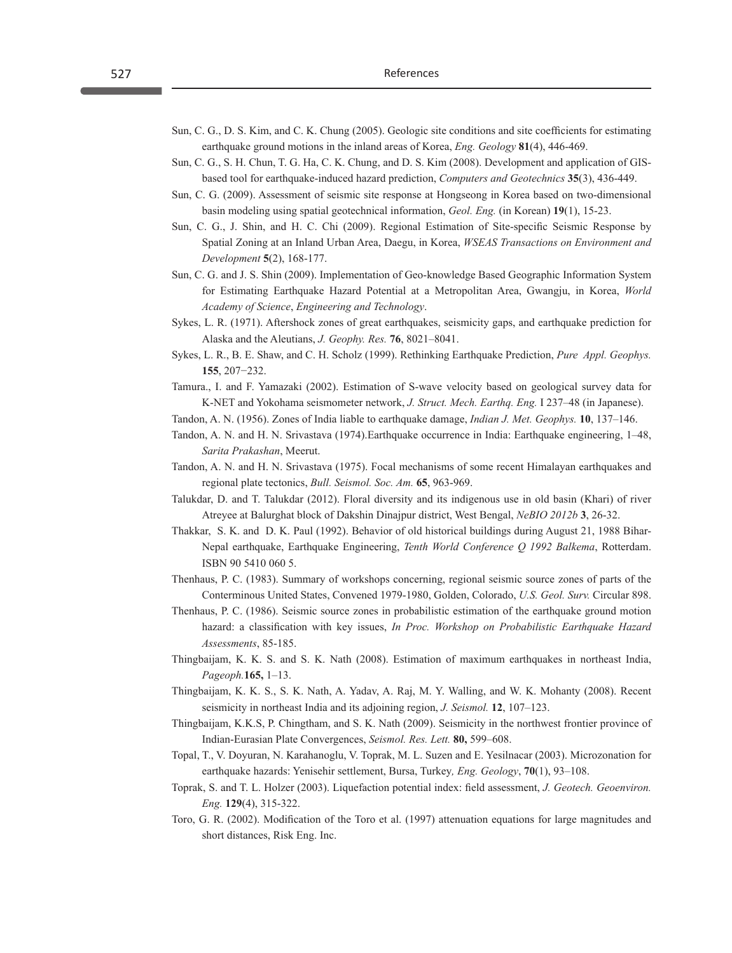- Sun, C. G., D. S. Kim, and C. K. Chung (2005). Geologic site conditions and site coefficients for estimating earthquake ground motions in the inland areas of Korea, *Eng. Geology* **81**(4), 446-469.
- Sun, C. G., S. H. Chun, T. G. Ha, C. K. Chung, and D. S. Kim (2008). Development and application of GISbased tool for earthquake-induced hazard prediction, *Computers and Geotechnics* **35**(3), 436-449.
- Sun, C. G. (2009). Assessment of seismic site response at Hongseong in Korea based on two-dimensional basin modeling using spatial geotechnical information, *Geol. Eng.* (in Korean) **19**(1), 15-23.
- Sun, C. G., J. Shin, and H. C. Chi (2009). Regional Estimation of Site-specific Seismic Response by Spatial Zoning at an Inland Urban Area, Daegu, in Korea, *WSEAS Transactions on Environment and Development* **5**(2), 168-177.
- Sun, C. G. and J. S. Shin (2009). Implementation of Geo-knowledge Based Geographic Information System for Estimating Earthquake Hazard Potential at a Metropolitan Area, Gwangju, in Korea, *World Academy of Science*, *Engineering and Technology*.
- Sykes, L. R. (1971). Aftershock zones of great earthquakes, seismicity gaps, and earthquake prediction for Alaska and the Aleutians, *J. Geophy. Res.* **76**, 8021–8041.
- Sykes, L. R., B. E. Shaw, and C. H. Scholz (1999). Rethinking Earthquake Prediction, *Pure Appl. Geophys.*  **155**, 207−232.
- Tamura., I. and F. Yamazaki (2002). Estimation of S-wave velocity based on geological survey data for K-NET and Yokohama seismometer network, *J. Struct. Mech. Earthq. Eng.* I 237–48 (in Japanese).
- Tandon, A. N. (1956). Zones of India liable to earthquake damage, *Indian J. Met. Geophys.* **10**, 137–146.
- Tandon, A. N. and H. N. Srivastava (1974).Earthquake occurrence in India: Earthquake engineering, 1–48, *Sarita Prakashan*, Meerut.
- Tandon, A. N. and H. N. Srivastava (1975). Focal mechanisms of some recent Himalayan earthquakes and regional plate tectonics, *Bull. Seismol. Soc. Am.* **65**, 963-969.
- Talukdar, D. and T. Talukdar (2012). Floral diversity and its indigenous use in old basin (Khari) of river Atreyee at Balurghat block of Dakshin Dinajpur district, West Bengal, *NeBIO 2012b* **3**, 26-32.
- Thakkar, S. K. and D. K. Paul (1992). Behavior of old historical buildings during August 21, 1988 Bihar-Nepal earthquake, Earthquake Engineering, *Tenth World Conference Q 1992 Balkema*, Rotterdam. ISBN 90 5410 060 5.
- Thenhaus, P. C. (1983). Summary of workshops concerning, regional seismic source zones of parts of the Conterminous United States, Convened 1979-1980, Golden, Colorado, *U.S. Geol. Surv.* Circular 898.
- Thenhaus, P. C. (1986). Seismic source zones in probabilistic estimation of the earthquake ground motion hazard: a classification with key issues, *In Proc. Workshop on Probabilistic Earthquake Hazard Assessments*, 85-185.
- Thingbaijam, K. K. S. and S. K. Nath (2008). Estimation of maximum earthquakes in northeast India, *Pageoph.***165,** 1–13.
- Thingbaijam, K. K. S., S. K. Nath, A. Yadav, A. Raj, M. Y. Walling, and W. K. Mohanty (2008). Recent seismicity in northeast India and its adjoining region, *J. Seismol.* **12**, 107–123.
- Thingbaijam, K.K.S, P. Chingtham, and S. K. Nath (2009). Seismicity in the northwest frontier province of Indian-Eurasian Plate Convergences, *Seismol. Res. Lett.* **80,** 599–608.
- Topal, T., V. Doyuran, N. Karahanoglu, V. Toprak, M. L. Suzen and E. Yesilnacar (2003). Microzonation for earthquake hazards: Yenisehir settlement, Bursa, Turkey*, Eng. Geology*, **70**(1), 93–108.
- Toprak, S. and T. L. Holzer (2003). Liquefaction potential index: field assessment, *J. Geotech. Geoenviron. Eng.* **129**(4), 315-322.
- Toro, G. R. (2002). Modification of the Toro et al. (1997) attenuation equations for large magnitudes and short distances, Risk Eng. Inc.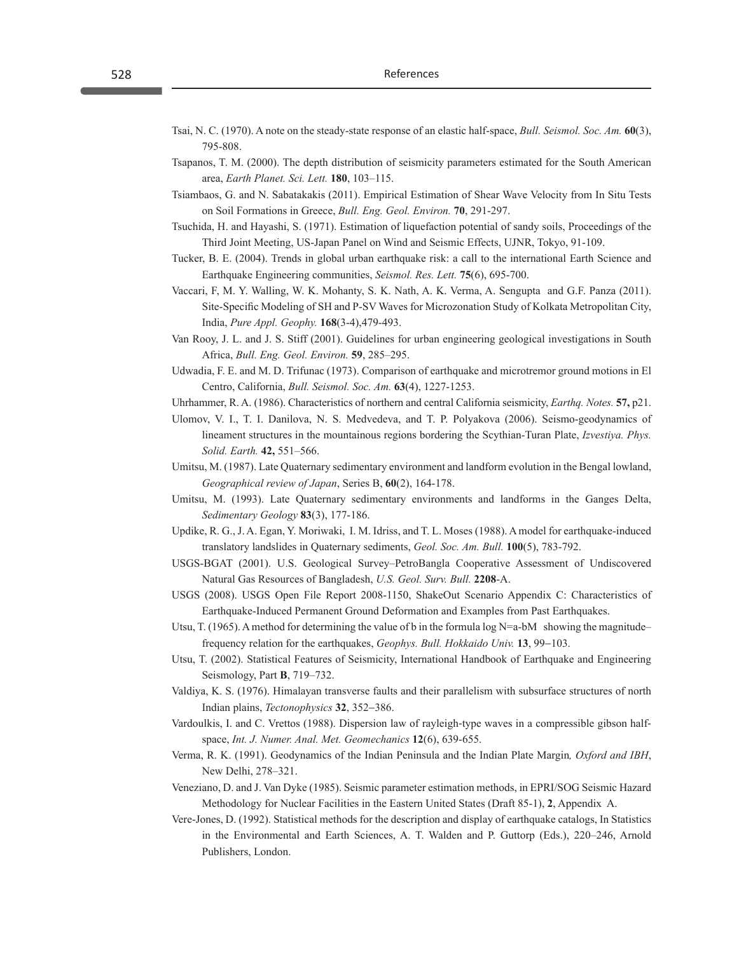- Tsai, N. C. (1970). A note on the steady-state response of an elastic half-space, *Bull. Seismol. Soc. Am.* **60**(3), 795-808.
- Tsapanos, T. M. (2000). The depth distribution of seismicity parameters estimated for the South American area, *Earth Planet. Sci. Lett.* **180**, 103–115.
- Tsiambaos, G. and N. Sabatakakis (2011). Empirical Estimation of Shear Wave Velocity from In Situ Tests on Soil Formations in Greece, *Bull. Eng. Geol. Environ.* **70**, 291-297.
- Tsuchida, H. and Hayashi, S. (1971). Estimation of liquefaction potential of sandy soils, Proceedings of the Third Joint Meeting, US-Japan Panel on Wind and Seismic Effects, UJNR, Tokyo, 91-109.
- Tucker, B. E. (2004). Trends in global urban earthquake risk: a call to the international Earth Science and Earthquake Engineering communities, *Seismol. Res. Lett.* **75**(6), 695-700.
- Vaccari, F, M. Y. Walling, W. K. Mohanty, S. K. Nath, A. K. Verma, A. Sengupta and G.F. Panza (2011). Site-Specific Modeling of SH and P-SV Waves for Microzonation Study of Kolkata Metropolitan City, India, *Pure Appl. Geophy.* **168**(3-4),479-493.
- Van Rooy, J. L. and J. S. Stiff (2001). Guidelines for urban engineering geological investigations in South Africa, *Bull. Eng. Geol. Environ.* **59**, 285–295.
- Udwadia, F. E. and M. D. Trifunac (1973). Comparison of earthquake and microtremor ground motions in El Centro, California, *Bull. Seismol. Soc. Am.* **63**(4), 1227-1253.
- Uhrhammer, R. A. (1986). Characteristics of northern and central California seismicity, *Earthq. Notes.* **57,** p21.
- Ulomov, V. I., T. I. Danilova, N. S. Medvedeva, and T. P. Polyakova (2006). Seismo-geodynamics of lineament structures in the mountainous regions bordering the Scythian-Turan Plate, *Izvestiya. Phys. Solid. Earth.* **42,** 551–566.
- Umitsu, M. (1987). Late Quaternary sedimentary environment and landform evolution in the Bengal lowland, *Geographical review of Japan*, Series B, **60**(2), 164-178.
- Umitsu, M. (1993). Late Quaternary sedimentary environments and landforms in the Ganges Delta, *Sedimentary Geology* **83**(3), 177-186.
- Updike, R. G., J. A. Egan, Y. Moriwaki, I. M. Idriss, and T. L. Moses (1988). A model for earthquake-induced translatory landslides in Quaternary sediments, *Geol. Soc. Am. Bull.* **100**(5), 783-792.
- USGS-BGAT (2001). U.S. Geological Survey–PetroBangla Cooperative Assessment of Undiscovered Natural Gas Resources of Bangladesh, *U.S. Geol. Surv. Bull.* **2208**-A.
- USGS (2008). USGS Open File Report 2008-1150, ShakeOut Scenario Appendix C: Characteristics of Earthquake-Induced Permanent Ground Deformation and Examples from Past Earthquakes.
- Utsu, T. (1965). A method for determining the value of b in the formula  $\log N = a$ -bM showing the magnitude– frequency relation for the earthquakes, *Geophys. Bull. Hokkaido Univ.* **13**, 99−103.
- Utsu, T. (2002). Statistical Features of Seismicity, International Handbook of Earthquake and Engineering Seismology, Part **B**, 719–732.
- Valdiya, K. S. (1976). Himalayan transverse faults and their parallelism with subsurface structures of north Indian plains, *Tectonophysics* **32**, 352−386.
- Vardoulkis, I. and C. Vrettos (1988). Dispersion law of rayleigh‐type waves in a compressible gibson half‐ space, *Int. J. Numer. Anal. Met. Geomechanics* **12**(6), 639-655.
- Verma, R. K. (1991). Geodynamics of the Indian Peninsula and the Indian Plate Margin*, Oxford and IBH*, New Delhi, 278–321.
- Veneziano, D. and J. Van Dyke (1985). Seismic parameter estimation methods, in EPRI/SOG Seismic Hazard Methodology for Nuclear Facilities in the Eastern United States (Draft 85-1), **2**, Appendix A.
- Vere-Jones, D. (1992). Statistical methods for the description and display of earthquake catalogs, In Statistics in the Environmental and Earth Sciences, A. T. Walden and P. Guttorp (Eds.), 220–246, Arnold Publishers, London.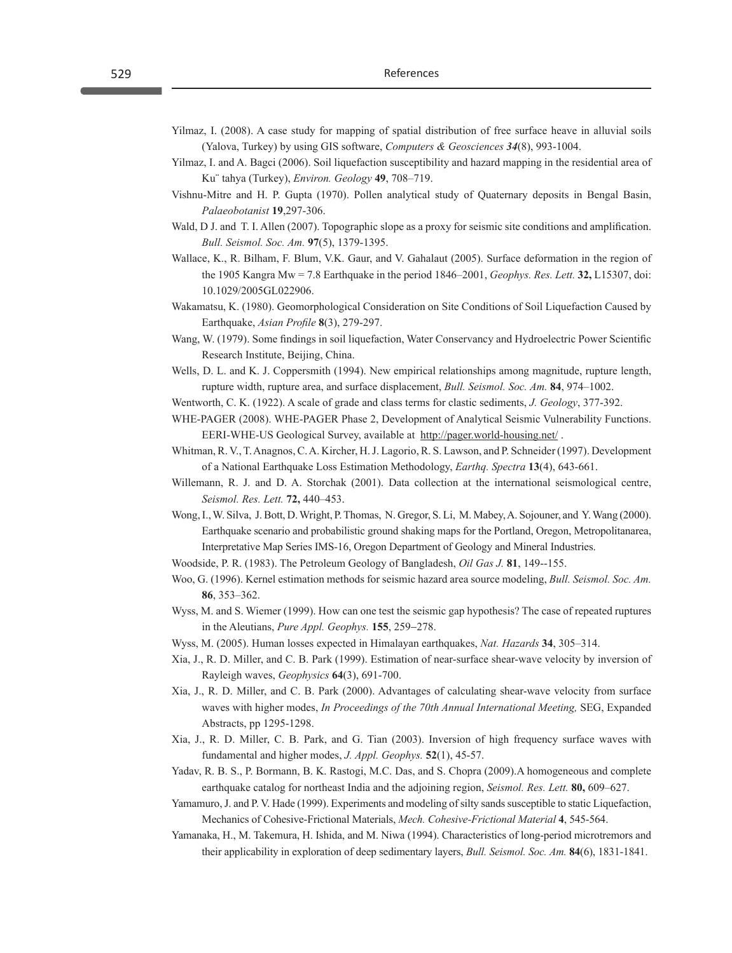- Yilmaz, I. (2008). A case study for mapping of spatial distribution of free surface heave in alluvial soils (Yalova, Turkey) by using GIS software, *Computers & Geosciences 34*(8), 993-1004.
- Yilmaz, I. and A. Bagci (2006). Soil liquefaction susceptibility and hazard mapping in the residential area of Ku¨ tahya (Turkey), *Environ. Geology* **49**, 708–719.
- Vishnu-Mitre and H. P. Gupta (1970). Pollen analytical study of Quaternary deposits in Bengal Basin, *Palaeobotanist* **19**,297-306.
- Wald, D J. and T. I. Allen (2007). Topographic slope as a proxy for seismic site conditions and amplification. *Bull. Seismol. Soc. Am.* **97**(5), 1379-1395.
- Wallace, K., R. Bilham, F. Blum, V.K. Gaur, and V. Gahalaut (2005). Surface deformation in the region of the 1905 Kangra Mw = 7.8 Earthquake in the period 1846–2001, *Geophys. Res. Lett.* **32,** L15307, doi: 10.1029/2005GL022906.
- Wakamatsu, K. (1980). Geomorphological Consideration on Site Conditions of Soil Liquefaction Caused by Earthquake, *Asian Profile* **8**(3), 279-297.
- Wang, W. (1979). Some findings in soil liquefaction, Water Conservancy and Hydroelectric Power Scientific Research Institute, Beijing, China.
- Wells, D. L. and K. J. Coppersmith (1994). New empirical relationships among magnitude, rupture length, rupture width, rupture area, and surface displacement, *Bull. Seismol. Soc. Am.* **84**, 974–1002.
- Wentworth, C. K. (1922). A scale of grade and class terms for clastic sediments, *J. Geology*, 377-392.
- WHE-PAGER (2008). WHE-PAGER Phase 2, Development of Analytical Seismic Vulnerability Functions. EERI-WHE-US Geological Survey, available at http://pager.world-housing.net/ .
- Whitman, R. V., T. Anagnos, C. A. Kircher, H. J. Lagorio, R. S. Lawson, and P. Schneider (1997). Development of a National Earthquake Loss Estimation Methodology, *Earthq. Spectra* **13**(4), 643-661.
- Willemann, R. J. and D. A. Storchak (2001). Data collection at the international seismological centre, *Seismol. Res. Lett.* **72,** 440–453.
- Wong, I., W. Silva, J. Bott, D. Wright, P. Thomas, N. Gregor, S. Li, M. Mabey, A. Sojouner, and Y. Wang (2000). Earthquake scenario and probabilistic ground shaking maps for the Portland, Oregon, Metropolitanarea, Interpretative Map Series IMS-16, Oregon Department of Geology and Mineral Industries.
- Woodside, P. R. (1983). The Petroleum Geology of Bangladesh, *Oil Gas J.* **81**, 149--155.
- Woo, G. (1996). Kernel estimation methods for seismic hazard area source modeling, *Bull. Seismol. Soc. Am.* **86**, 353–362.
- Wyss, M. and S. Wiemer (1999). How can one test the seismic gap hypothesis? The case of repeated ruptures in the Aleutians, *Pure Appl. Geophys.* **155**, 259−278.
- Wyss, M. (2005). Human losses expected in Himalayan earthquakes, *Nat. Hazards* **34**, 305–314.
- Xia, J., R. D. Miller, and C. B. Park (1999). Estimation of near-surface shear-wave velocity by inversion of Rayleigh waves, *Geophysics* **64**(3), 691-700.
- Xia, J., R. D. Miller, and C. B. Park (2000). Advantages of calculating shear-wave velocity from surface waves with higher modes, *In Proceedings of the 70th Annual International Meeting,* SEG, Expanded Abstracts, pp 1295-1298.
- Xia, J., R. D. Miller, C. B. Park, and G. Tian (2003). Inversion of high frequency surface waves with fundamental and higher modes, *J. Appl. Geophys.* **52**(1), 45-57.
- Yadav, R. B. S., P. Bormann, B. K. Rastogi, M.C. Das, and S. Chopra (2009).A homogeneous and complete earthquake catalog for northeast India and the adjoining region, *Seismol. Res. Lett.* **80,** 609–627.
- Yamamuro, J. and P. V. Hade (1999). Experiments and modeling of silty sands susceptible to static Liquefaction, Mechanics of Cohesive-Frictional Materials, *Mech. Cohesive-Frictional Material* **4**, 545-564.
- Yamanaka, H., M. Takemura, H. Ishida, and M. Niwa (1994). Characteristics of long-period microtremors and their applicability in exploration of deep sedimentary layers, *Bull. Seismol. Soc. Am.* **84**(6), 1831-1841.